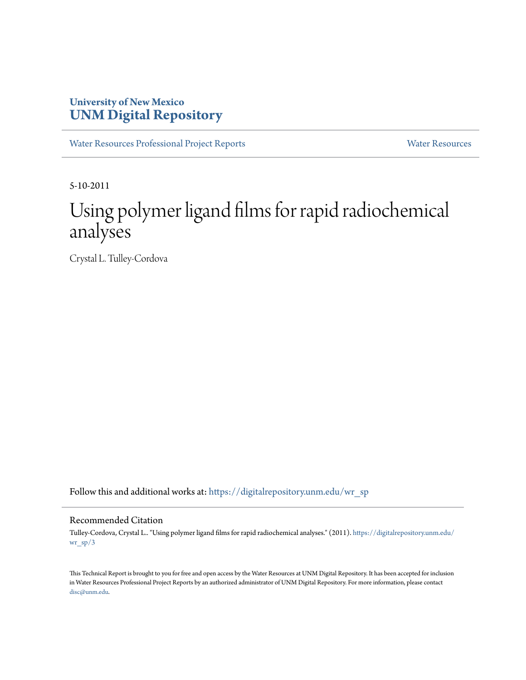# **University of New Mexico [UNM Digital Repository](https://digitalrepository.unm.edu?utm_source=digitalrepository.unm.edu%2Fwr_sp%2F3&utm_medium=PDF&utm_campaign=PDFCoverPages)**

[Water Resources Professional Project Reports](https://digitalrepository.unm.edu/wr_sp?utm_source=digitalrepository.unm.edu%2Fwr_sp%2F3&utm_medium=PDF&utm_campaign=PDFCoverPages) [Water Resources](https://digitalrepository.unm.edu/wr?utm_source=digitalrepository.unm.edu%2Fwr_sp%2F3&utm_medium=PDF&utm_campaign=PDFCoverPages)

5-10-2011

# Using polymer ligand films for rapid radiochemical analyses

Crystal L. Tulley-Cordova

Follow this and additional works at: [https://digitalrepository.unm.edu/wr\\_sp](https://digitalrepository.unm.edu/wr_sp?utm_source=digitalrepository.unm.edu%2Fwr_sp%2F3&utm_medium=PDF&utm_campaign=PDFCoverPages)

#### Recommended Citation

Tulley-Cordova, Crystal L.. "Using polymer ligand films for rapid radiochemical analyses." (2011). [https://digitalrepository.unm.edu/](https://digitalrepository.unm.edu/wr_sp/3?utm_source=digitalrepository.unm.edu%2Fwr_sp%2F3&utm_medium=PDF&utm_campaign=PDFCoverPages) [wr\\_sp/3](https://digitalrepository.unm.edu/wr_sp/3?utm_source=digitalrepository.unm.edu%2Fwr_sp%2F3&utm_medium=PDF&utm_campaign=PDFCoverPages)

This Technical Report is brought to you for free and open access by the Water Resources at UNM Digital Repository. It has been accepted for inclusion in Water Resources Professional Project Reports by an authorized administrator of UNM Digital Repository. For more information, please contact [disc@unm.edu](mailto:disc@unm.edu).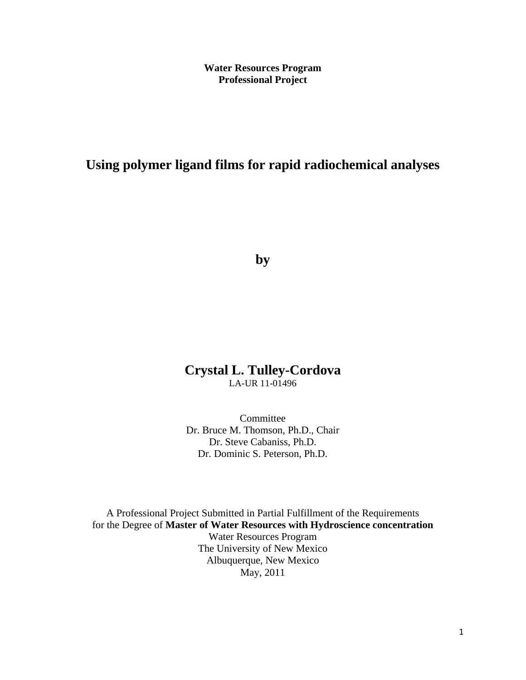**Water Resources Program Professional Project**

# **Using polymer ligand films for rapid radiochemical analyses**

**by**

# **Crystal L. Tulley-Cordova** LA-UR 11-01496

Committee Dr. Bruce M. Thomson, Ph.D., Chair Dr. Steve Cabaniss, Ph.D. Dr. Dominic S. Peterson, Ph.D.

A Professional Project Submitted in Partial Fulfillment of the Requirements for the Degree of **Master of Water Resources with Hydroscience concentration** Water Resources Program The University of New Mexico Albuquerque, New Mexico May, 2011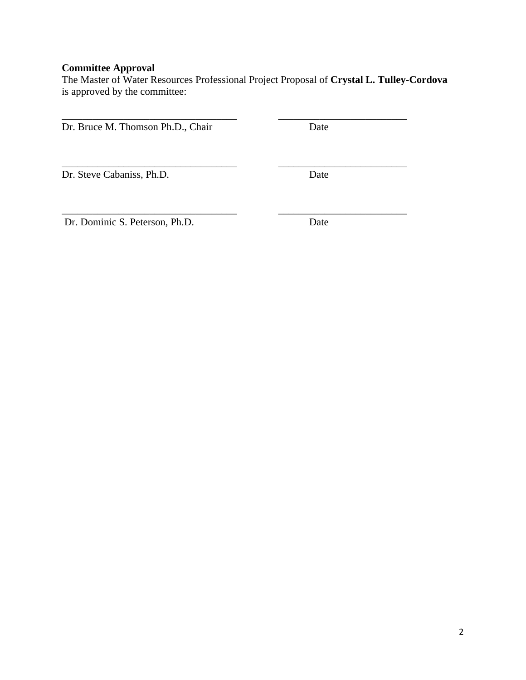# **Committee Approval**

The Master of Water Resources Professional Project Proposal of **Crystal L. Tulley-Cordova** is approved by the committee:

\_\_\_\_\_\_\_\_\_\_\_\_\_\_\_\_\_\_\_\_\_\_\_\_\_\_\_\_\_\_\_\_\_\_ \_\_\_\_\_\_\_\_\_\_\_\_\_\_\_\_\_\_\_\_\_\_\_\_\_

\_\_\_\_\_\_\_\_\_\_\_\_\_\_\_\_\_\_\_\_\_\_\_\_\_\_\_\_\_\_\_\_\_\_ \_\_\_\_\_\_\_\_\_\_\_\_\_\_\_\_\_\_\_\_\_\_\_\_\_

Dr. Bruce M. Thomson Ph.D., Chair Date

Dr. Steve Cabaniss, Ph.D. Date

Dr. Dominic S. Peterson, Ph.D. Date

\_\_\_\_\_\_\_\_\_\_\_\_\_\_\_\_\_\_\_\_\_\_\_\_\_\_\_\_\_\_\_\_\_\_ \_\_\_\_\_\_\_\_\_\_\_\_\_\_\_\_\_\_\_\_\_\_\_\_\_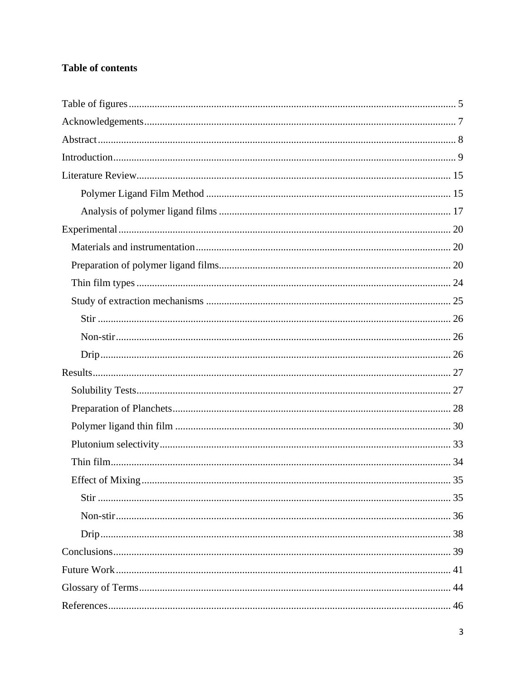# **Table of contents**

| Effect of Mixing. | 35 |
|-------------------|----|
|                   |    |
|                   |    |
|                   |    |
|                   |    |
|                   |    |
|                   |    |
|                   |    |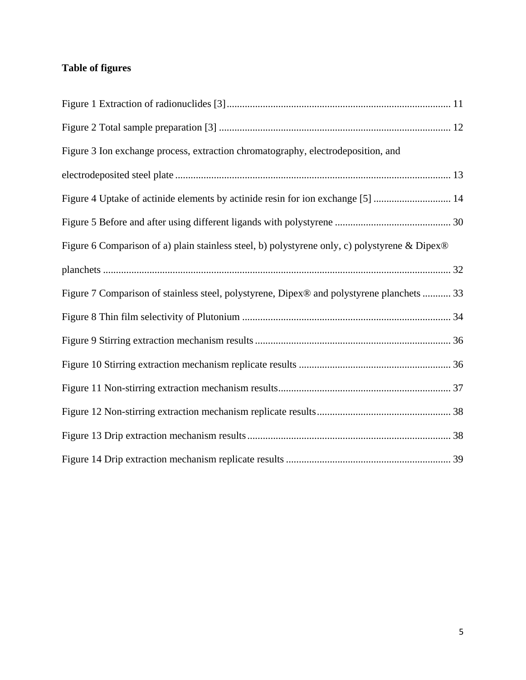# <span id="page-5-0"></span>**Table of figures**

| Figure 3 Ion exchange process, extraction chromatography, electrodeposition, and              |  |
|-----------------------------------------------------------------------------------------------|--|
|                                                                                               |  |
| Figure 4 Uptake of actinide elements by actinide resin for ion exchange [5]  14               |  |
|                                                                                               |  |
| Figure 6 Comparison of a) plain stainless steel, b) polystyrene only, c) polystyrene & Dipex® |  |
|                                                                                               |  |
| Figure 7 Comparison of stainless steel, polystyrene, Dipex® and polystyrene planchets  33     |  |
|                                                                                               |  |
|                                                                                               |  |
|                                                                                               |  |
|                                                                                               |  |
|                                                                                               |  |
|                                                                                               |  |
|                                                                                               |  |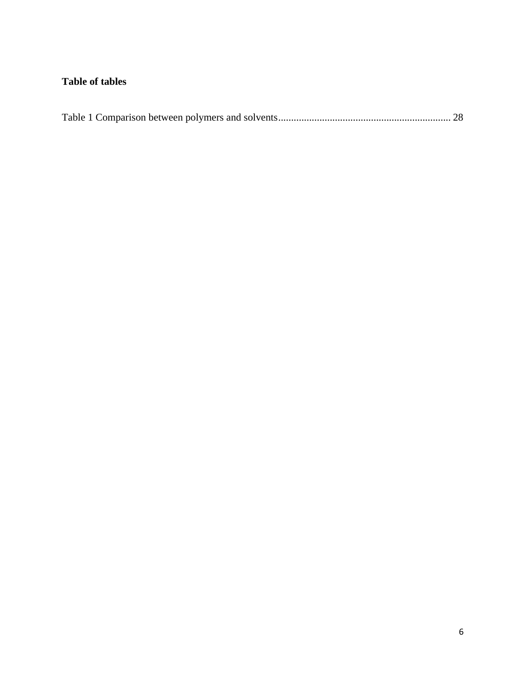# **Table of tables**

|--|--|--|--|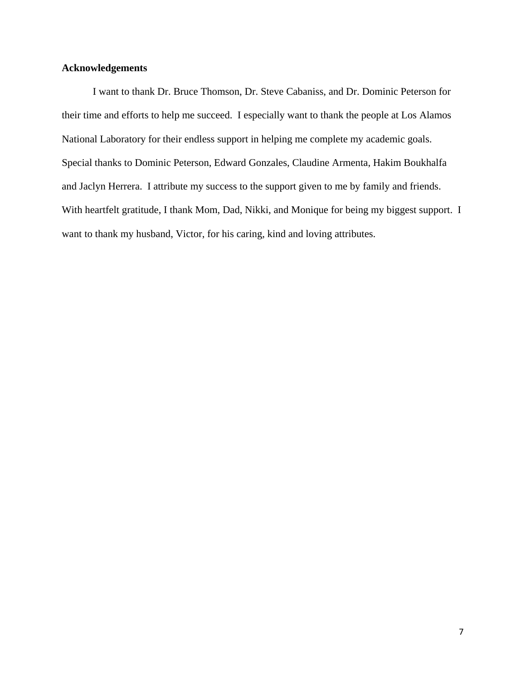## <span id="page-7-0"></span>**Acknowledgements**

I want to thank Dr. Bruce Thomson, Dr. Steve Cabaniss, and Dr. Dominic Peterson for their time and efforts to help me succeed. I especially want to thank the people at Los Alamos National Laboratory for their endless support in helping me complete my academic goals. Special thanks to Dominic Peterson, Edward Gonzales, Claudine Armenta, Hakim Boukhalfa and Jaclyn Herrera. I attribute my success to the support given to me by family and friends. With heartfelt gratitude, I thank Mom, Dad, Nikki, and Monique for being my biggest support. I want to thank my husband, Victor, for his caring, kind and loving attributes.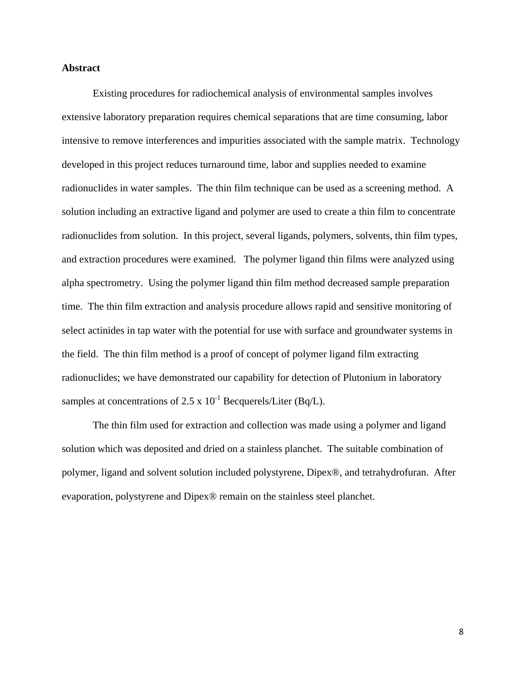#### <span id="page-8-0"></span>**Abstract**

Existing procedures for radiochemical analysis of environmental samples involves extensive laboratory preparation requires chemical separations that are time consuming, labor intensive to remove interferences and impurities associated with the sample matrix. Technology developed in this project reduces turnaround time, labor and supplies needed to examine radionuclides in water samples. The thin film technique can be used as a screening method. A solution including an extractive ligand and polymer are used to create a thin film to concentrate radionuclides from solution. In this project, several ligands, polymers, solvents, thin film types, and extraction procedures were examined. The polymer ligand thin films were analyzed using alpha spectrometry. Using the polymer ligand thin film method decreased sample preparation time. The thin film extraction and analysis procedure allows rapid and sensitive monitoring of select actinides in tap water with the potential for use with surface and groundwater systems in the field. The thin film method is a proof of concept of polymer ligand film extracting radionuclides; we have demonstrated our capability for detection of Plutonium in laboratory samples at concentrations of 2.5 x  $10^{-1}$  Becquerels/Liter (Bq/L).

The thin film used for extraction and collection was made using a polymer and ligand solution which was deposited and dried on a stainless planchet. The suitable combination of polymer, ligand and solvent solution included polystyrene, Dipex®, and tetrahydrofuran. After evaporation, polystyrene and Dipex® remain on the stainless steel planchet.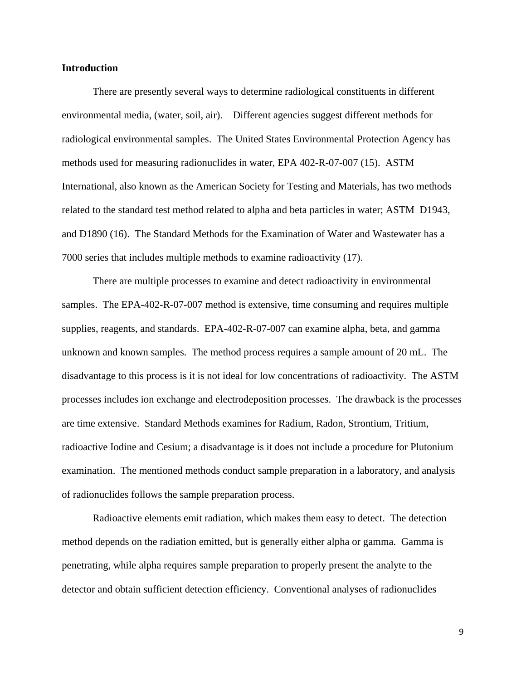#### <span id="page-9-0"></span>**Introduction**

There are presently several ways to determine radiological constituents in different environmental media, (water, soil, air). Different agencies suggest different methods for radiological environmental samples. The United States Environmental Protection Agency has methods used for measuring radionuclides in water, EPA 402-R-07-007 (15). ASTM International, also known as the American Society for Testing and Materials, has two methods related to the standard test method related to alpha and beta particles in water; ASTM D1943, and D1890 (16). The Standard Methods for the Examination of Water and Wastewater has a 7000 series that includes multiple methods to examine radioactivity (17).

There are multiple processes to examine and detect radioactivity in environmental samples. The EPA-402-R-07-007 method is extensive, time consuming and requires multiple supplies, reagents, and standards. EPA-402-R-07-007 can examine alpha, beta, and gamma unknown and known samples. The method process requires a sample amount of 20 mL. The disadvantage to this process is it is not ideal for low concentrations of radioactivity. The ASTM processes includes ion exchange and electrodeposition processes. The drawback is the processes are time extensive. Standard Methods examines for Radium, Radon, Strontium, Tritium, radioactive Iodine and Cesium; a disadvantage is it does not include a procedure for Plutonium examination. The mentioned methods conduct sample preparation in a laboratory, and analysis of radionuclides follows the sample preparation process.

Radioactive elements emit radiation, which makes them easy to detect. The detection method depends on the radiation emitted, but is generally either alpha or gamma. Gamma is penetrating, while alpha requires sample preparation to properly present the analyte to the detector and obtain sufficient detection efficiency. Conventional analyses of radionuclides

9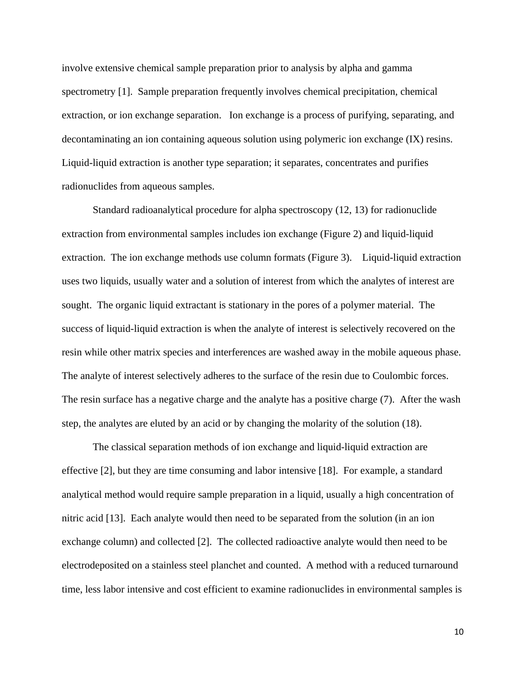involve extensive chemical sample preparation prior to analysis by alpha and gamma spectrometry [1]. Sample preparation frequently involves chemical precipitation, chemical extraction, or ion exchange separation. Ion exchange is a process of purifying, separating, and decontaminating an ion containing aqueous solution using polymeric ion exchange (IX) resins. Liquid-liquid extraction is another type separation; it separates, concentrates and purifies radionuclides from aqueous samples.

Standard radioanalytical procedure for alpha spectroscopy (12, 13) for radionuclide extraction from environmental samples includes ion exchange (Figure 2) and liquid-liquid extraction. The ion exchange methods use column formats (Figure 3). Liquid-liquid extraction uses two liquids, usually water and a solution of interest from which the analytes of interest are sought. The organic liquid extractant is stationary in the pores of a polymer material. The success of liquid-liquid extraction is when the analyte of interest is selectively recovered on the resin while other matrix species and interferences are washed away in the mobile aqueous phase. The analyte of interest selectively adheres to the surface of the resin due to Coulombic forces. The resin surface has a negative charge and the analyte has a positive charge (7). After the wash step, the analytes are eluted by an acid or by changing the molarity of the solution (18).

The classical separation methods of ion exchange and liquid-liquid extraction are effective [2], but they are time consuming and labor intensive [18]. For example, a standard analytical method would require sample preparation in a liquid, usually a high concentration of nitric acid [13]. Each analyte would then need to be separated from the solution (in an ion exchange column) and collected [2]. The collected radioactive analyte would then need to be electrodeposited on a stainless steel planchet and counted. A method with a reduced turnaround time, less labor intensive and cost efficient to examine radionuclides in environmental samples is

10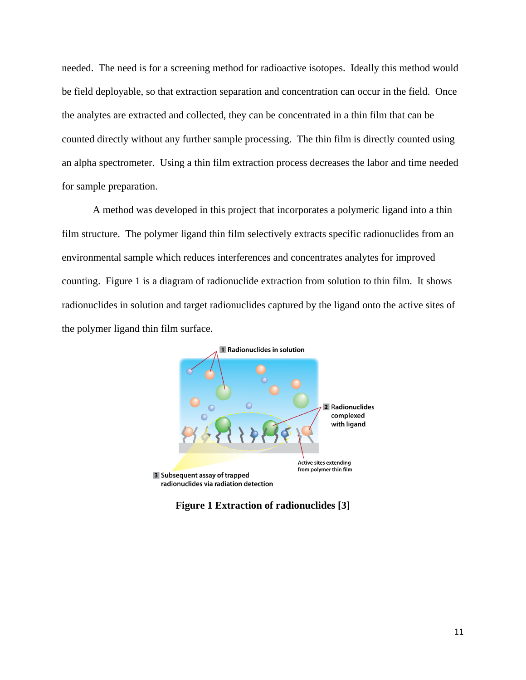needed. The need is for a screening method for radioactive isotopes. Ideally this method would be field deployable, so that extraction separation and concentration can occur in the field. Once the analytes are extracted and collected, they can be concentrated in a thin film that can be counted directly without any further sample processing. The thin film is directly counted using an alpha spectrometer. Using a thin film extraction process decreases the labor and time needed for sample preparation.

A method was developed in this project that incorporates a polymeric ligand into a thin film structure. The polymer ligand thin film selectively extracts specific radionuclides from an environmental sample which reduces interferences and concentrates analytes for improved counting. Figure 1 is a diagram of radionuclide extraction from solution to thin film. It shows radionuclides in solution and target radionuclides captured by the ligand onto the active sites of the polymer ligand thin film surface.



<span id="page-11-0"></span>**Figure 1 Extraction of radionuclides [3]**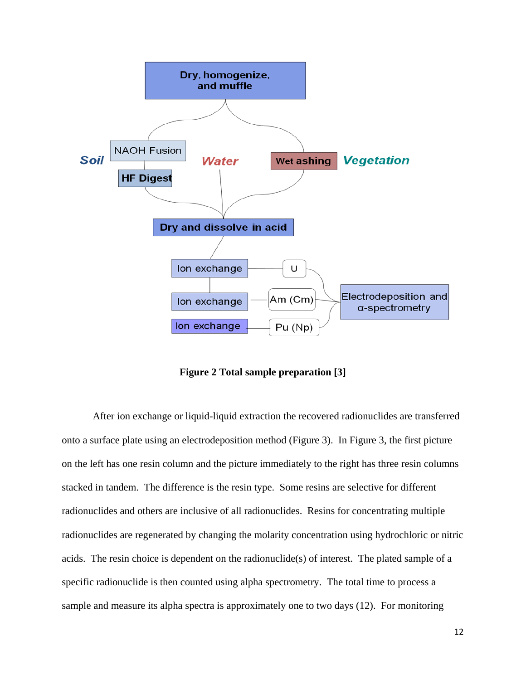

**Figure 2 Total sample preparation [3]**

<span id="page-12-0"></span>After ion exchange or liquid-liquid extraction the recovered radionuclides are transferred onto a surface plate using an electrodeposition method (Figure 3). In Figure 3, the first picture on the left has one resin column and the picture immediately to the right has three resin columns stacked in tandem. The difference is the resin type. Some resins are selective for different radionuclides and others are inclusive of all radionuclides. Resins for concentrating multiple radionuclides are regenerated by changing the molarity concentration using hydrochloric or nitric acids. The resin choice is dependent on the radionuclide(s) of interest. The plated sample of a specific radionuclide is then counted using alpha spectrometry. The total time to process a sample and measure its alpha spectra is approximately one to two days (12). For monitoring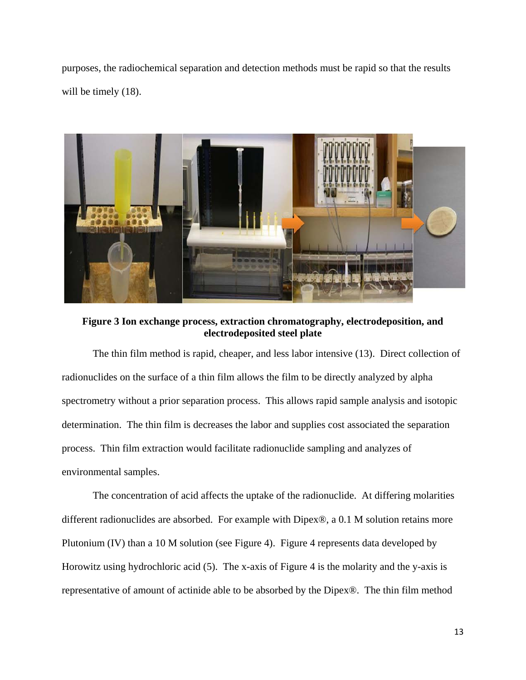purposes, the radiochemical separation and detection methods must be rapid so that the results will be timely  $(18)$ .



**Figure 3 Ion exchange process, extraction chromatography, electrodeposition, and electrodeposited steel plate**

<span id="page-13-0"></span>The thin film method is rapid, cheaper, and less labor intensive (13). Direct collection of radionuclides on the surface of a thin film allows the film to be directly analyzed by alpha spectrometry without a prior separation process. This allows rapid sample analysis and isotopic determination. The thin film is decreases the labor and supplies cost associated the separation process. Thin film extraction would facilitate radionuclide sampling and analyzes of environmental samples.

The concentration of acid affects the uptake of the radionuclide. At differing molarities different radionuclides are absorbed. For example with Dipex®, a 0.1 M solution retains more Plutonium (IV) than a 10 M solution (see Figure 4). Figure 4 represents data developed by Horowitz using hydrochloric acid (5). The x-axis of Figure 4 is the molarity and the y-axis is representative of amount of actinide able to be absorbed by the Dipex®. The thin film method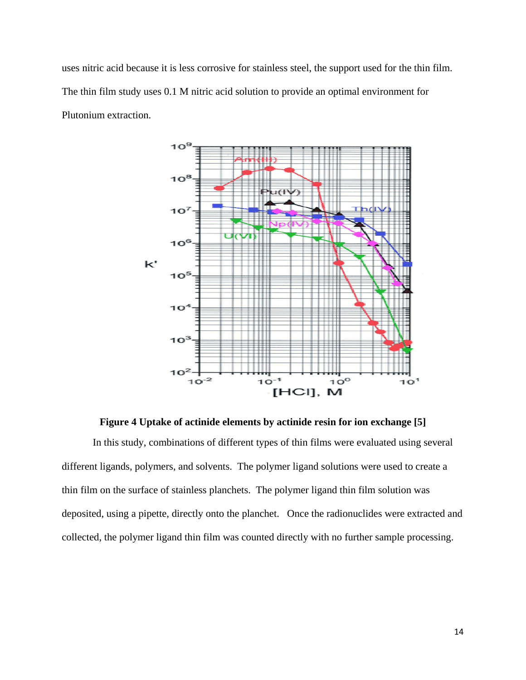uses nitric acid because it is less corrosive for stainless steel, the support used for the thin film. The thin film study uses 0.1 M nitric acid solution to provide an optimal environment for Plutonium extraction.



**Figure 4 Uptake of actinide elements by actinide resin for ion exchange [5]**

<span id="page-14-0"></span>In this study, combinations of different types of thin films were evaluated using several different ligands, polymers, and solvents. The polymer ligand solutions were used to create a thin film on the surface of stainless planchets. The polymer ligand thin film solution was deposited, using a pipette, directly onto the planchet. Once the radionuclides were extracted and collected, the polymer ligand thin film was counted directly with no further sample processing.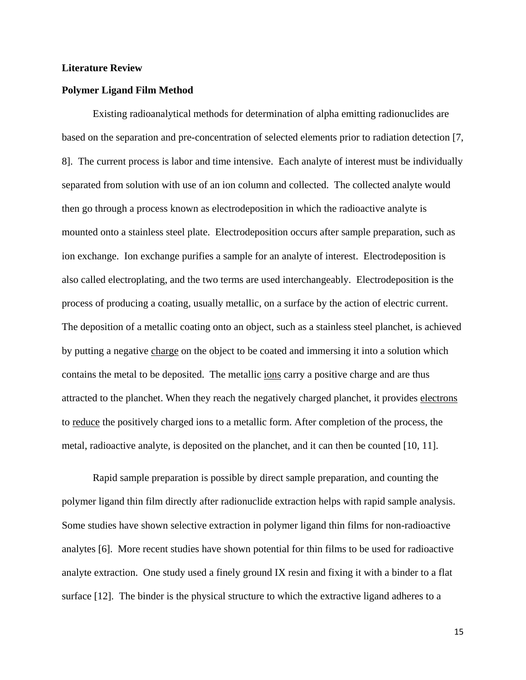#### <span id="page-15-0"></span>**Literature Review**

#### <span id="page-15-1"></span>**Polymer Ligand Film Method**

Existing radioanalytical methods for determination of alpha emitting radionuclides are based on the separation and pre-concentration of selected elements prior to radiation detection [7, 8]. The current process is labor and time intensive. Each analyte of interest must be individually separated from solution with use of an ion column and collected. The collected analyte would then go through a process known as electrodeposition in which the radioactive analyte is mounted onto a stainless steel plate. Electrodeposition occurs after sample preparation, such as ion exchange. Ion exchange purifies a sample for an analyte of interest. Electrodeposition is also called electroplating, and the two terms are used interchangeably. Electrodeposition is the process of producing a coating, usually metallic, on a surface by the action of [electric current.](http://electrochem.cwru.edu/ed/dict.htm#c14) The deposition of a metallic coating onto an object, such as a stainless steel planchet, is achieved by putting a negative [charge](http://electrochem.cwru.edu/ed/dict.htm#e135) on the object to be coated and immersing it into a solution which contains the metal to be deposited. The metallic [ions](http://electrochem.cwru.edu/ed/dict.htm#i01) carry a positive charge and are thus attracted to the planchet. When they reach the negatively charged planchet, it provides [electrons](http://electrochem.cwru.edu/ed/dict.htm#a33) to [reduce](http://electrochem.cwru.edu/ed/dict.htm#o01) the positively charged ions to a metallic form. After completion of the process, the metal, radioactive analyte, is deposited on the planchet, and it can then be counted [10, 11].

Rapid sample preparation is possible by direct sample preparation, and counting the polymer ligand thin film directly after radionuclide extraction helps with rapid sample analysis. Some studies have shown selective extraction in polymer ligand thin films for non-radioactive analytes [6]. More recent studies have shown potential for thin films to be used for radioactive analyte extraction. One study used a finely ground IX resin and fixing it with a binder to a flat surface [12]. The binder is the physical structure to which the extractive ligand adheres to a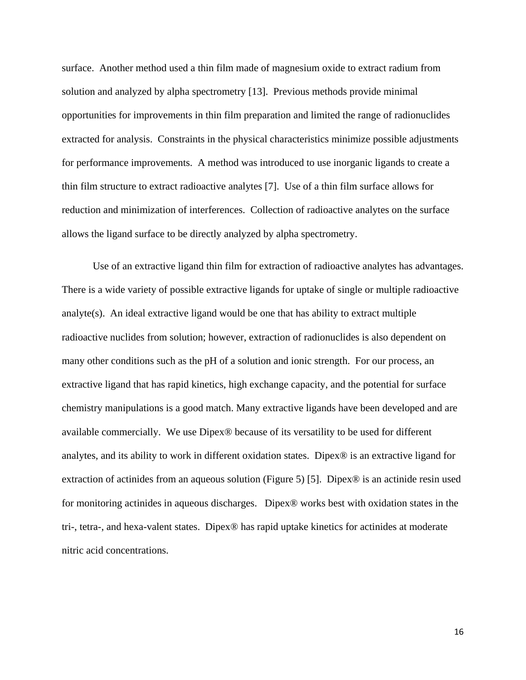surface. Another method used a thin film made of magnesium oxide to extract radium from solution and analyzed by alpha spectrometry [13]. Previous methods provide minimal opportunities for improvements in thin film preparation and limited the range of radionuclides extracted for analysis. Constraints in the physical characteristics minimize possible adjustments for performance improvements. A method was introduced to use inorganic ligands to create a thin film structure to extract radioactive analytes [7]. Use of a thin film surface allows for reduction and minimization of interferences. Collection of radioactive analytes on the surface allows the ligand surface to be directly analyzed by alpha spectrometry.

Use of an extractive ligand thin film for extraction of radioactive analytes has advantages. There is a wide variety of possible extractive ligands for uptake of single or multiple radioactive analyte(s). An ideal extractive ligand would be one that has ability to extract multiple radioactive nuclides from solution; however, extraction of radionuclides is also dependent on many other conditions such as the pH of a solution and ionic strength. For our process, an extractive ligand that has rapid kinetics, high exchange capacity, and the potential for surface chemistry manipulations is a good match. Many extractive ligands have been developed and are available commercially. We use Dipex® because of its versatility to be used for different analytes, and its ability to work in different oxidation states. Dipex® is an extractive ligand for extraction of actinides from an aqueous solution (Figure 5) [5]. Dipex<sup>®</sup> is an actinide resin used for monitoring actinides in aqueous discharges. Dipex® works best with oxidation states in the tri-, tetra-, and hexa-valent states. Dipex® has rapid uptake kinetics for actinides at moderate nitric acid concentrations.

16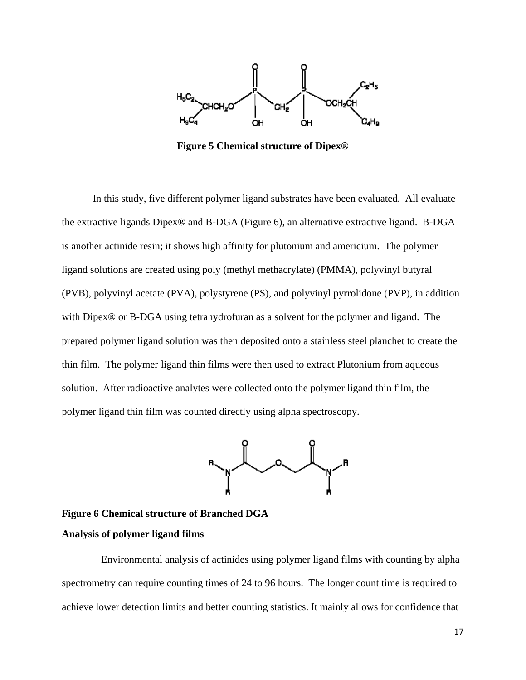

**Figure 5 Chemical structure of Dipex®**

In this study, five different polymer ligand substrates have been evaluated. All evaluate the extractive ligands Dipex® and B-DGA (Figure 6), an alternative extractive ligand. B-DGA is another actinide resin; it shows high affinity for plutonium and americium. The polymer ligand solutions are created using poly (methyl methacrylate) (PMMA), polyvinyl butyral (PVB), polyvinyl acetate (PVA), polystyrene (PS), and polyvinyl pyrrolidone (PVP), in addition with Dipex® or B-DGA using tetrahydrofuran as a solvent for the polymer and ligand. The prepared polymer ligand solution was then deposited onto a stainless steel planchet to create the thin film. The polymer ligand thin films were then used to extract Plutonium from aqueous solution. After radioactive analytes were collected onto the polymer ligand thin film, the polymer ligand thin film was counted directly using alpha spectroscopy.



<span id="page-17-0"></span>**Figure 6 Chemical structure of Branched DGA Analysis of polymer ligand films**

Environmental analysis of actinides using polymer ligand films with counting by alpha spectrometry can require counting times of 24 to 96 hours. The longer count time is required to achieve lower detection limits and better counting statistics. It mainly allows for confidence that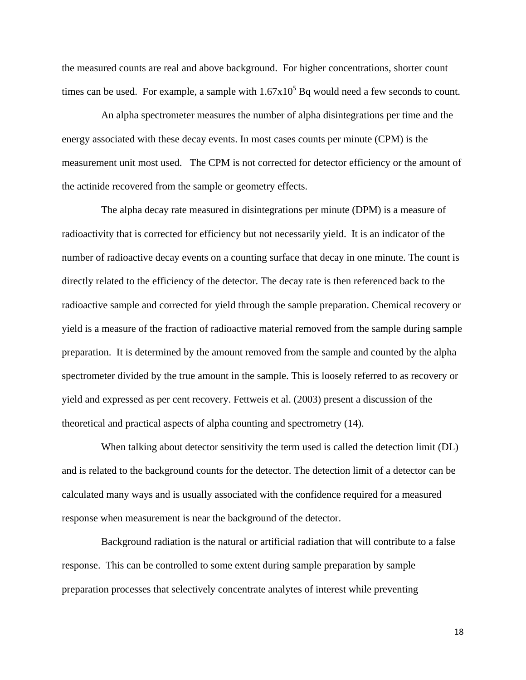the measured counts are real and above background. For higher concentrations, shorter count times can be used. For example, a sample with  $1.67 \times 10^5$  Bq would need a few seconds to count.

An alpha spectrometer measures the number of alpha disintegrations per time and the energy associated with these decay events. In most cases counts per minute (CPM) is the measurement unit most used. The CPM is not corrected for detector efficiency or the amount of the actinide recovered from the sample or geometry effects.

The alpha decay rate measured in disintegrations per minute (DPM) is a measure of radioactivity that is corrected for efficiency but not necessarily yield. It is an indicator of the number of radioactive decay events on a counting surface that decay in one minute. The count is directly related to the efficiency of the detector. The decay rate is then referenced back to the radioactive sample and corrected for yield through the sample preparation. Chemical recovery or yield is a measure of the fraction of radioactive material removed from the sample during sample preparation. It is determined by the amount removed from the sample and counted by the alpha spectrometer divided by the true amount in the sample. This is loosely referred to as recovery or yield and expressed as per cent recovery. Fettweis et al. (2003) present a discussion of the theoretical and practical aspects of alpha counting and spectrometry (14).

When talking about detector sensitivity the term used is called the detection limit (DL) and is related to the background counts for the detector. The detection limit of a detector can be calculated many ways and is usually associated with the confidence required for a measured response when measurement is near the background of the detector.

Background radiation is the natural or artificial radiation that will contribute to a false response. This can be controlled to some extent during sample preparation by sample preparation processes that selectively concentrate analytes of interest while preventing

18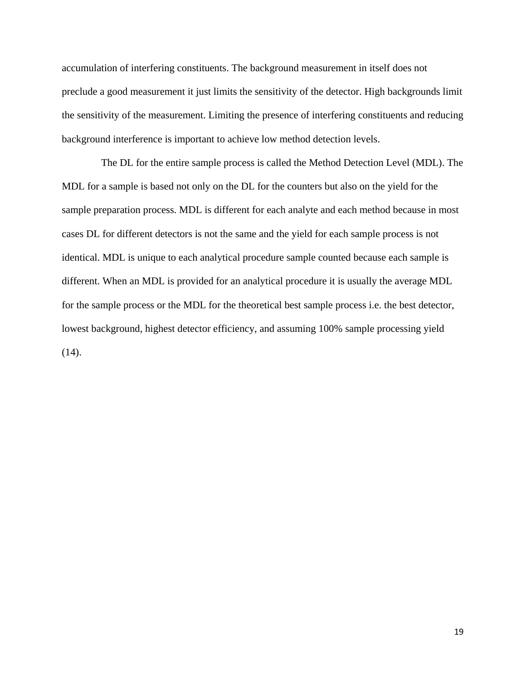accumulation of interfering constituents. The background measurement in itself does not preclude a good measurement it just limits the sensitivity of the detector. High backgrounds limit the sensitivity of the measurement. Limiting the presence of interfering constituents and reducing background interference is important to achieve low method detection levels.

The DL for the entire sample process is called the Method Detection Level (MDL). The MDL for a sample is based not only on the DL for the counters but also on the yield for the sample preparation process. MDL is different for each analyte and each method because in most cases DL for different detectors is not the same and the yield for each sample process is not identical. MDL is unique to each analytical procedure sample counted because each sample is different. When an MDL is provided for an analytical procedure it is usually the average MDL for the sample process or the MDL for the theoretical best sample process i.e. the best detector, lowest background, highest detector efficiency, and assuming 100% sample processing yield  $(14)$ .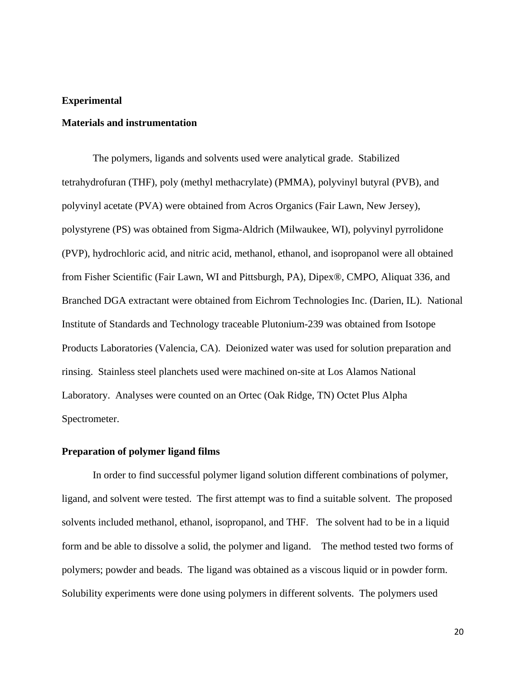#### <span id="page-20-0"></span>**Experimental**

#### <span id="page-20-1"></span>**Materials and instrumentation**

The polymers, ligands and solvents used were analytical grade. Stabilized tetrahydrofuran (THF), poly (methyl methacrylate) (PMMA), polyvinyl butyral (PVB), and polyvinyl acetate (PVA) were obtained from Acros Organics (Fair Lawn, New Jersey), polystyrene (PS) was obtained from Sigma-Aldrich (Milwaukee, WI), polyvinyl pyrrolidone (PVP), hydrochloric acid, and nitric acid, methanol, ethanol, and isopropanol were all obtained from Fisher Scientific (Fair Lawn, WI and Pittsburgh, PA), Dipex®, CMPO, Aliquat 336, and Branched DGA extractant were obtained from Eichrom Technologies Inc. (Darien, IL). National Institute of Standards and Technology traceable Plutonium-239 was obtained from Isotope Products Laboratories (Valencia, CA). Deionized water was used for solution preparation and rinsing. Stainless steel planchets used were machined on-site at Los Alamos National Laboratory. Analyses were counted on an Ortec (Oak Ridge, TN) Octet Plus Alpha Spectrometer.

#### <span id="page-20-2"></span>**Preparation of polymer ligand films**

In order to find successful polymer ligand solution different combinations of polymer, ligand, and solvent were tested. The first attempt was to find a suitable solvent. The proposed solvents included methanol, ethanol, isopropanol, and THF. The solvent had to be in a liquid form and be able to dissolve a solid, the polymer and ligand. The method tested two forms of polymers; powder and beads. The ligand was obtained as a viscous liquid or in powder form. Solubility experiments were done using polymers in different solvents. The polymers used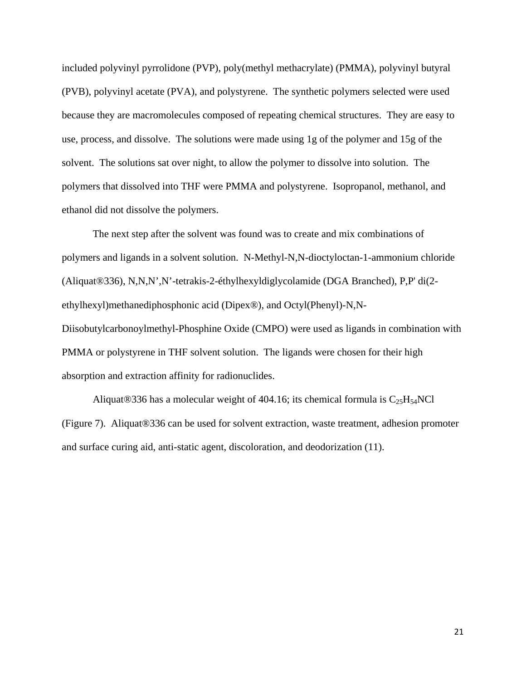included polyvinyl pyrrolidone (PVP), poly(methyl methacrylate) (PMMA), polyvinyl butyral (PVB), polyvinyl acetate (PVA), and polystyrene. The synthetic polymers selected were used because they are macromolecules composed of repeating chemical structures. They are easy to use, process, and dissolve. The solutions were made using 1g of the polymer and 15g of the solvent. The solutions sat over night, to allow the polymer to dissolve into solution. The polymers that dissolved into THF were PMMA and polystyrene. Isopropanol, methanol, and ethanol did not dissolve the polymers.

The next step after the solvent was found was to create and mix combinations of polymers and ligands in a solvent solution. N-Methyl-N,N-dioctyloctan-1-ammonium chloride (Aliquat®336), N,N,N',N'-tetrakis-2-éthylhexyldiglycolamide (DGA Branched), P,P' di(2 ethylhexyl)methanediphosphonic acid (Dipex®), and Octyl(Phenyl)-N,N-Diisobutylcarbonoylmethyl-Phosphine Oxide (CMPO) were used as ligands in combination with PMMA or polystyrene in THF solvent solution. The ligands were chosen for their high absorption and extraction affinity for radionuclides.

Aliquat®336 has a molecular weight of 404.16; its chemical formula is  $C_{25}H_{54}NCl$ (Figure 7). Aliquat®336 can be used for solvent extraction, waste treatment, adhesion promoter and surface curing aid, anti-static agent, discoloration, and deodorization (11).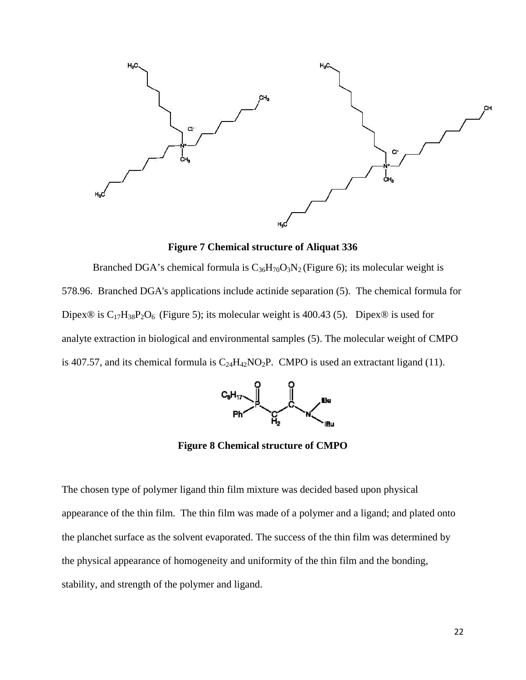

**Figure 7 Chemical structure of Aliquat 336**

Branched DGA's chemical formula is  $C_{36}H_{70}O_3N_2$  (Figure 6); its molecular weight is 578.96. Branched DGA's applications include actinide separation (5). The chemical formula for Dipex® is  $C_{17}H_{38}P_2O_6$  (Figure 5); its molecular weight is 400.43 (5). Dipex® is used for analyte extraction in biological and environmental samples (5). The molecular weight of CMPO is 407.57, and its chemical formula is  $C_{24}H_{42}NO_2P$ . CMPO is used an extractant ligand (11).



**Figure 8 Chemical structure of CMPO**

The chosen type of polymer ligand thin film mixture was decided based upon physical appearance of the thin film. The thin film was made of a polymer and a ligand; and plated onto the planchet surface as the solvent evaporated. The success of the thin film was determined by the physical appearance of homogeneity and uniformity of the thin film and the bonding, stability, and strength of the polymer and ligand.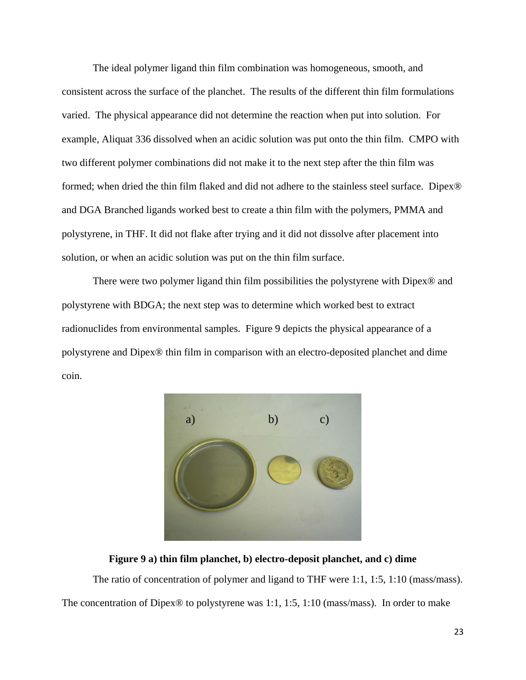The ideal polymer ligand thin film combination was homogeneous, smooth, and consistent across the surface of the planchet. The results of the different thin film formulations varied. The physical appearance did not determine the reaction when put into solution. For example, Aliquat 336 dissolved when an acidic solution was put onto the thin film. CMPO with two different polymer combinations did not make it to the next step after the thin film was formed; when dried the thin film flaked and did not adhere to the stainless steel surface. Dipex<sup>®</sup> and DGA Branched ligands worked best to create a thin film with the polymers, PMMA and polystyrene, in THF. It did not flake after trying and it did not dissolve after placement into solution, or when an acidic solution was put on the thin film surface.

There were two polymer ligand thin film possibilities the polystyrene with Dipex® and polystyrene with BDGA; the next step was to determine which worked best to extract radionuclides from environmental samples. Figure 9 depicts the physical appearance of a polystyrene and Dipex® thin film in comparison with an electro-deposited planchet and dime coin.



# **Figure 9 a) thin film planchet, b) electro-deposit planchet, and c) dime**

The ratio of concentration of polymer and ligand to THF were 1:1, 1:5, 1:10 (mass/mass). The concentration of Dipex® to polystyrene was 1:1, 1:5, 1:10 (mass/mass). In order to make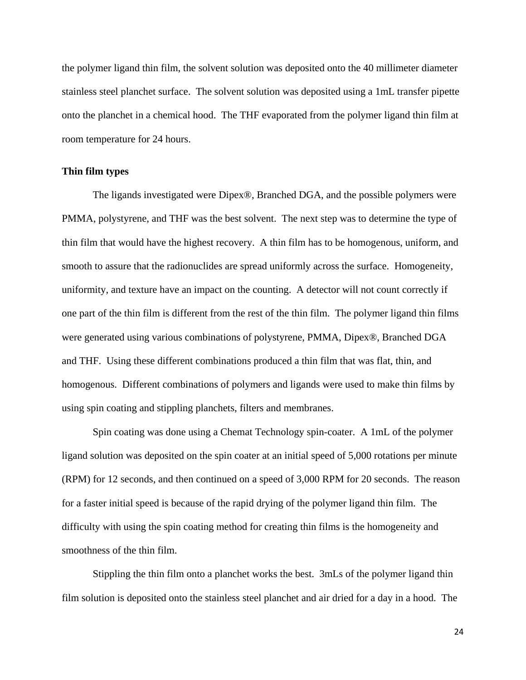the polymer ligand thin film, the solvent solution was deposited onto the 40 millimeter diameter stainless steel planchet surface. The solvent solution was deposited using a 1mL transfer pipette onto the planchet in a chemical hood. The THF evaporated from the polymer ligand thin film at room temperature for 24 hours.

#### <span id="page-24-0"></span>**Thin film types**

The ligands investigated were Dipex®, Branched DGA, and the possible polymers were PMMA, polystyrene, and THF was the best solvent. The next step was to determine the type of thin film that would have the highest recovery. A thin film has to be homogenous, uniform, and smooth to assure that the radionuclides are spread uniformly across the surface. Homogeneity, uniformity, and texture have an impact on the counting. A detector will not count correctly if one part of the thin film is different from the rest of the thin film. The polymer ligand thin films were generated using various combinations of polystyrene, PMMA, Dipex®, Branched DGA and THF. Using these different combinations produced a thin film that was flat, thin, and homogenous. Different combinations of polymers and ligands were used to make thin films by using spin coating and stippling planchets, filters and membranes.

Spin coating was done using a Chemat Technology spin-coater. A 1mL of the polymer ligand solution was deposited on the spin coater at an initial speed of 5,000 rotations per minute (RPM) for 12 seconds, and then continued on a speed of 3,000 RPM for 20 seconds. The reason for a faster initial speed is because of the rapid drying of the polymer ligand thin film. The difficulty with using the spin coating method for creating thin films is the homogeneity and smoothness of the thin film.

Stippling the thin film onto a planchet works the best. 3mLs of the polymer ligand thin film solution is deposited onto the stainless steel planchet and air dried for a day in a hood. The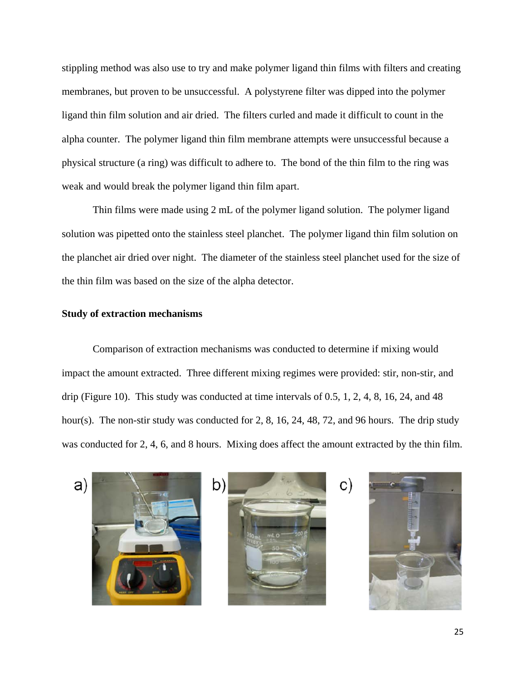stippling method was also use to try and make polymer ligand thin films with filters and creating membranes, but proven to be unsuccessful. A polystyrene filter was dipped into the polymer ligand thin film solution and air dried. The filters curled and made it difficult to count in the alpha counter. The polymer ligand thin film membrane attempts were unsuccessful because a physical structure (a ring) was difficult to adhere to. The bond of the thin film to the ring was weak and would break the polymer ligand thin film apart.

Thin films were made using 2 mL of the polymer ligand solution. The polymer ligand solution was pipetted onto the stainless steel planchet. The polymer ligand thin film solution on the planchet air dried over night. The diameter of the stainless steel planchet used for the size of the thin film was based on the size of the alpha detector.

#### <span id="page-25-0"></span>**Study of extraction mechanisms**

Comparison of extraction mechanisms was conducted to determine if mixing would impact the amount extracted. Three different mixing regimes were provided: stir, non-stir, and drip (Figure 10). This study was conducted at time intervals of 0.5, 1, 2, 4, 8, 16, 24, and 48 hour(s). The non-stir study was conducted for 2, 8, 16, 24, 48, 72, and 96 hours. The drip study was conducted for 2, 4, 6, and 8 hours. Mixing does affect the amount extracted by the thin film.



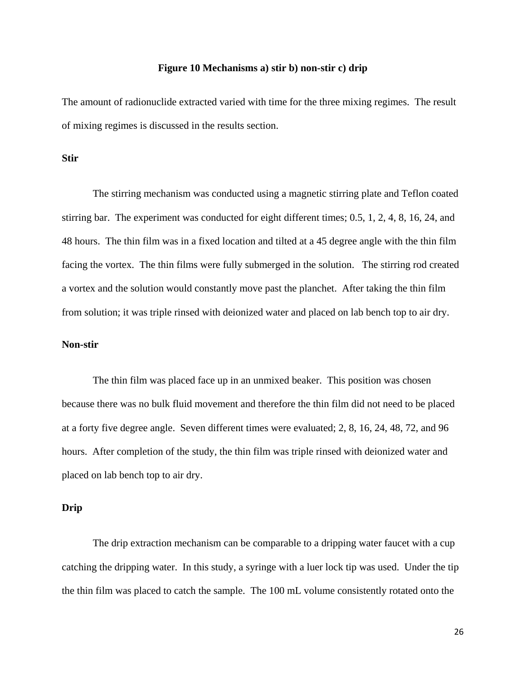#### **Figure 10 Mechanisms a) stir b) non-stir c) drip**

The amount of radionuclide extracted varied with time for the three mixing regimes. The result of mixing regimes is discussed in the results section.

#### <span id="page-26-0"></span>**Stir**

The stirring mechanism was conducted using a magnetic stirring plate and Teflon coated stirring bar. The experiment was conducted for eight different times; 0.5, 1, 2, 4, 8, 16, 24, and 48 hours. The thin film was in a fixed location and tilted at a 45 degree angle with the thin film facing the vortex. The thin films were fully submerged in the solution. The stirring rod created a vortex and the solution would constantly move past the planchet. After taking the thin film from solution; it was triple rinsed with deionized water and placed on lab bench top to air dry.

#### <span id="page-26-1"></span>**Non-stir**

The thin film was placed face up in an unmixed beaker. This position was chosen because there was no bulk fluid movement and therefore the thin film did not need to be placed at a forty five degree angle. Seven different times were evaluated; 2, 8, 16, 24, 48, 72, and 96 hours. After completion of the study, the thin film was triple rinsed with deionized water and placed on lab bench top to air dry.

#### <span id="page-26-2"></span>**Drip**

The drip extraction mechanism can be comparable to a dripping water faucet with a cup catching the dripping water. In this study, a syringe with a luer lock tip was used. Under the tip the thin film was placed to catch the sample. The 100 mL volume consistently rotated onto the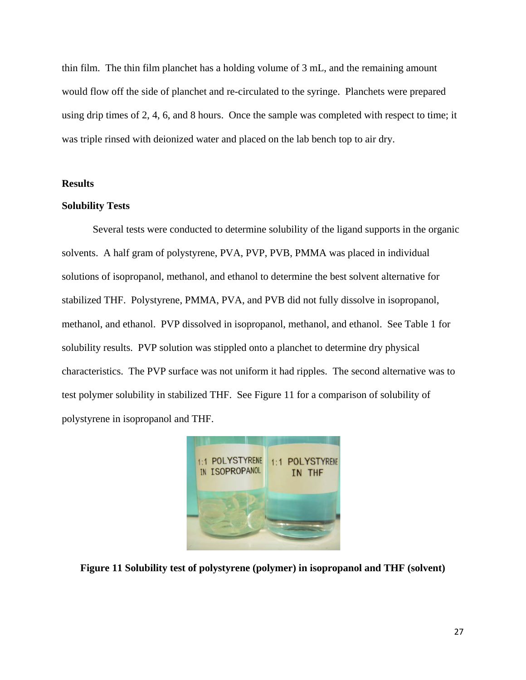thin film. The thin film planchet has a holding volume of 3 mL, and the remaining amount would flow off the side of planchet and re-circulated to the syringe. Planchets were prepared using drip times of 2, 4, 6, and 8 hours. Once the sample was completed with respect to time; it was triple rinsed with deionized water and placed on the lab bench top to air dry.

#### <span id="page-27-0"></span>**Results**

#### <span id="page-27-1"></span>**Solubility Tests**

Several tests were conducted to determine solubility of the ligand supports in the organic solvents. A half gram of polystyrene, PVA, PVP, PVB, PMMA was placed in individual solutions of isopropanol, methanol, and ethanol to determine the best solvent alternative for stabilized THF. Polystyrene, PMMA, PVA, and PVB did not fully dissolve in isopropanol, methanol, and ethanol. PVP dissolved in isopropanol, methanol, and ethanol. See Table 1 for solubility results. PVP solution was stippled onto a planchet to determine dry physical characteristics. The PVP surface was not uniform it had ripples. The second alternative was to test polymer solubility in stabilized THF. See Figure 11 for a comparison of solubility of polystyrene in isopropanol and THF.



**Figure 11 Solubility test of polystyrene (polymer) in isopropanol and THF (solvent)**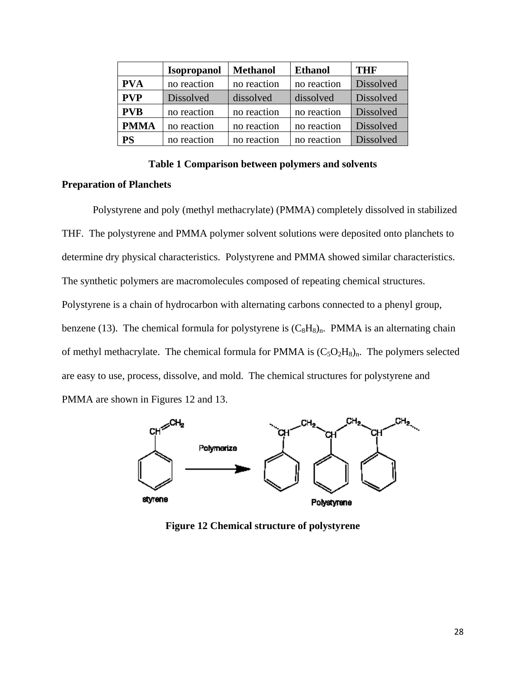|             | <b>Isopropanol</b> | <b>Methanol</b> | <b>Ethanol</b> | THF       |
|-------------|--------------------|-----------------|----------------|-----------|
| <b>PVA</b>  | no reaction        | no reaction     | no reaction    | Dissolved |
| <b>PVP</b>  | <b>Dissolved</b>   | dissolved       | dissolved      | Dissolved |
| <b>PVB</b>  | no reaction        | no reaction     | no reaction    | Dissolved |
| <b>PMMA</b> | no reaction        | no reaction     | no reaction    | Dissolved |
| PS          | no reaction        | no reaction     | no reaction    | Dissolved |

**Table 1 Comparison between polymers and solvents**

## <span id="page-28-1"></span><span id="page-28-0"></span>**Preparation of Planchets**

Polystyrene and poly (methyl methacrylate) (PMMA) completely dissolved in stabilized THF. The polystyrene and PMMA polymer solvent solutions were deposited onto planchets to determine dry physical characteristics. Polystyrene and PMMA showed similar characteristics. The synthetic polymers are macromolecules composed of repeating chemical structures. Polystyrene is a chain of hydrocarbon with alternating carbons connected to a phenyl group, benzene (13). The chemical formula for polystyrene is  $(C_8H_8)_n$ . PMMA is an alternating chain of methyl methacrylate. The chemical formula for PMMA is  $(C_5O_2H_8)_n$ . The polymers selected are easy to use, process, dissolve, and mold. The chemical structures for polystyrene and PMMA are shown in Figures 12 and 13.



**Figure 12 Chemical structure of polystyrene**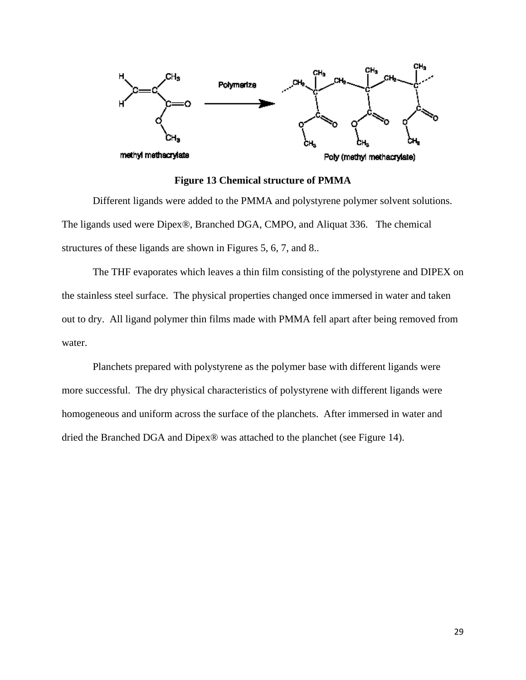

#### **Figure 13 Chemical structure of PMMA**

Different ligands were added to the PMMA and polystyrene polymer solvent solutions. The ligands used were Dipex®, Branched DGA, CMPO, and Aliquat 336. The chemical structures of these ligands are shown in Figures 5, 6, 7, and 8..

The THF evaporates which leaves a thin film consisting of the polystyrene and DIPEX on the stainless steel surface. The physical properties changed once immersed in water and taken out to dry. All ligand polymer thin films made with PMMA fell apart after being removed from water.

Planchets prepared with polystyrene as the polymer base with different ligands were more successful. The dry physical characteristics of polystyrene with different ligands were homogeneous and uniform across the surface of the planchets. After immersed in water and dried the Branched DGA and Dipex® was attached to the planchet (see Figure 14).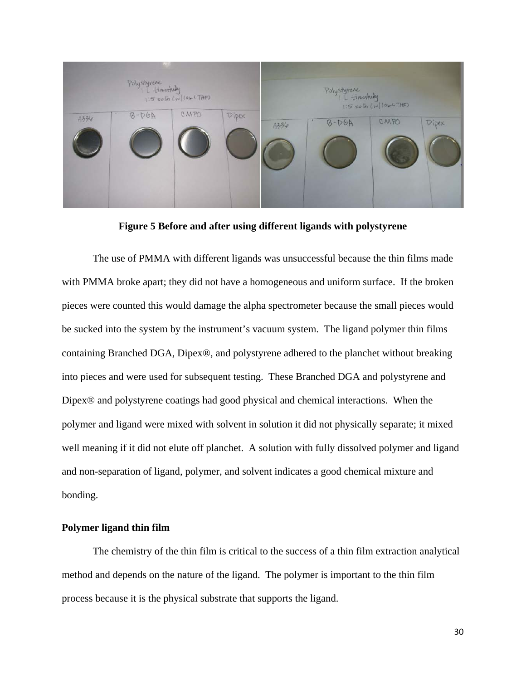

**Figure 5 Before and after using different ligands with polystyrene**

<span id="page-30-1"></span>The use of PMMA with different ligands was unsuccessful because the thin films made with PMMA broke apart; they did not have a homogeneous and uniform surface. If the broken pieces were counted this would damage the alpha spectrometer because the small pieces would be sucked into the system by the instrument's vacuum system. The ligand polymer thin films containing Branched DGA, Dipex®, and polystyrene adhered to the planchet without breaking into pieces and were used for subsequent testing. These Branched DGA and polystyrene and Dipex® and polystyrene coatings had good physical and chemical interactions. When the polymer and ligand were mixed with solvent in solution it did not physically separate; it mixed well meaning if it did not elute off planchet. A solution with fully dissolved polymer and ligand and non-separation of ligand, polymer, and solvent indicates a good chemical mixture and bonding.

#### <span id="page-30-0"></span>**Polymer ligand thin film**

The chemistry of the thin film is critical to the success of a thin film extraction analytical method and depends on the nature of the ligand. The polymer is important to the thin film process because it is the physical substrate that supports the ligand.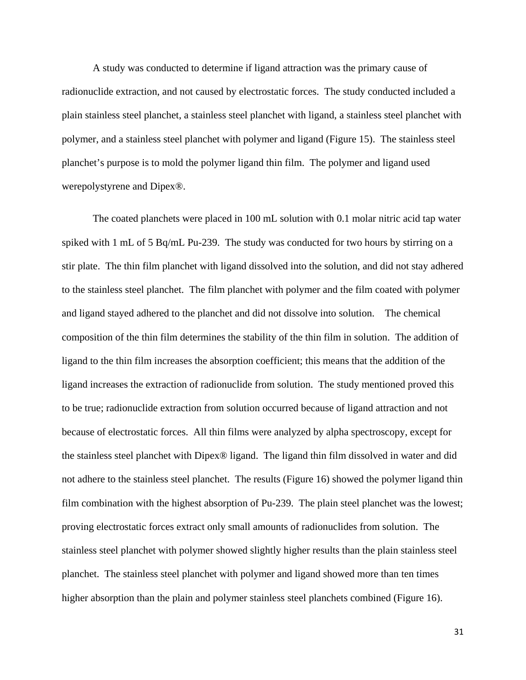A study was conducted to determine if ligand attraction was the primary cause of radionuclide extraction, and not caused by electrostatic forces. The study conducted included a plain stainless steel planchet, a stainless steel planchet with ligand, a stainless steel planchet with polymer, and a stainless steel planchet with polymer and ligand (Figure 15). The stainless steel planchet's purpose is to mold the polymer ligand thin film. The polymer and ligand used werepolystyrene and Dipex®.

The coated planchets were placed in 100 mL solution with 0.1 molar nitric acid tap water spiked with 1 mL of 5 Bq/mL Pu-239. The study was conducted for two hours by stirring on a stir plate. The thin film planchet with ligand dissolved into the solution, and did not stay adhered to the stainless steel planchet. The film planchet with polymer and the film coated with polymer and ligand stayed adhered to the planchet and did not dissolve into solution. The chemical composition of the thin film determines the stability of the thin film in solution. The addition of ligand to the thin film increases the absorption coefficient; this means that the addition of the ligand increases the extraction of radionuclide from solution. The study mentioned proved this to be true; radionuclide extraction from solution occurred because of ligand attraction and not because of electrostatic forces. All thin films were analyzed by alpha spectroscopy, except for the stainless steel planchet with Dipex® ligand. The ligand thin film dissolved in water and did not adhere to the stainless steel planchet. The results (Figure 16) showed the polymer ligand thin film combination with the highest absorption of Pu-239. The plain steel planchet was the lowest; proving electrostatic forces extract only small amounts of radionuclides from solution. The stainless steel planchet with polymer showed slightly higher results than the plain stainless steel planchet. The stainless steel planchet with polymer and ligand showed more than ten times higher absorption than the plain and polymer stainless steel planchets combined (Figure 16).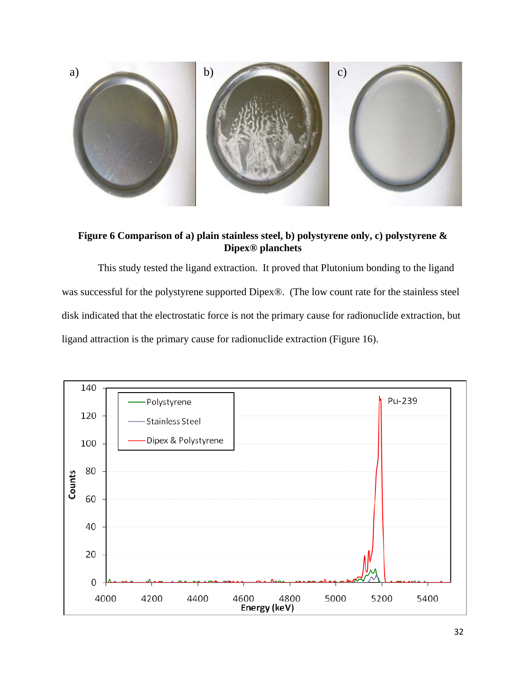

<span id="page-32-0"></span>**Figure 6 Comparison of a) plain stainless steel, b) polystyrene only, c) polystyrene & Dipex® planchets**

 This study tested the ligand extraction. It proved that Plutonium bonding to the ligand was successful for the polystyrene supported Dipex®. (The low count rate for the stainless steel disk indicated that the electrostatic force is not the primary cause for radionuclide extraction, but ligand attraction is the primary cause for radionuclide extraction (Figure 16).

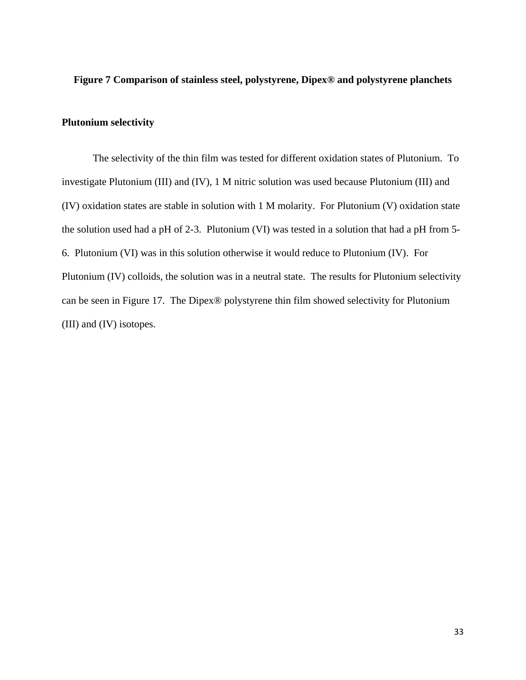#### <span id="page-33-1"></span>**Figure 7 Comparison of stainless steel, polystyrene, Dipex® and polystyrene planchets**

### <span id="page-33-0"></span>**Plutonium selectivity**

The selectivity of the thin film was tested for different oxidation states of Plutonium. To investigate Plutonium (III) and (IV), 1 M nitric solution was used because Plutonium (III) and (IV) oxidation states are stable in solution with 1 M molarity. For Plutonium (V) oxidation state the solution used had a pH of 2-3. Plutonium (VI) was tested in a solution that had a pH from 5- 6. Plutonium (VI) was in this solution otherwise it would reduce to Plutonium (IV). For Plutonium (IV) colloids, the solution was in a neutral state. The results for Plutonium selectivity can be seen in Figure 17. The Dipex® polystyrene thin film showed selectivity for Plutonium (III) and (IV) isotopes.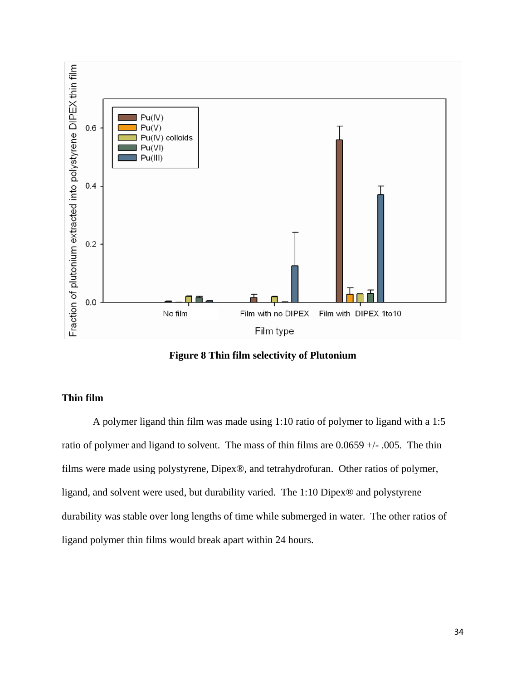

**Figure 8 Thin film selectivity of Plutonium**

# <span id="page-34-1"></span><span id="page-34-0"></span>**Thin film**

A polymer ligand thin film was made using 1:10 ratio of polymer to ligand with a 1:5 ratio of polymer and ligand to solvent. The mass of thin films are  $0.0659 +/-0.005$ . The thin films were made using polystyrene, Dipex®, and tetrahydrofuran. Other ratios of polymer, ligand, and solvent were used, but durability varied. The 1:10 Dipex® and polystyrene durability was stable over long lengths of time while submerged in water. The other ratios of ligand polymer thin films would break apart within 24 hours.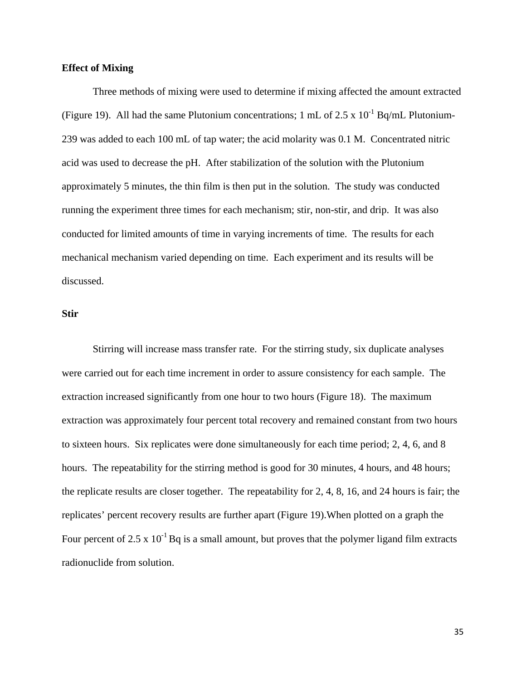#### <span id="page-35-0"></span>**Effect of Mixing**

Three methods of mixing were used to determine if mixing affected the amount extracted (Figure 19). All had the same Plutonium concentrations; 1 mL of 2.5 x  $10^{-1}$  Bq/mL Plutonium-239 was added to each 100 mL of tap water; the acid molarity was 0.1 M. Concentrated nitric acid was used to decrease the pH. After stabilization of the solution with the Plutonium approximately 5 minutes, the thin film is then put in the solution. The study was conducted running the experiment three times for each mechanism; stir, non-stir, and drip. It was also conducted for limited amounts of time in varying increments of time. The results for each mechanical mechanism varied depending on time. Each experiment and its results will be discussed.

#### <span id="page-35-1"></span>**Stir**

Stirring will increase mass transfer rate. For the stirring study, six duplicate analyses were carried out for each time increment in order to assure consistency for each sample. The extraction increased significantly from one hour to two hours (Figure 18). The maximum extraction was approximately four percent total recovery and remained constant from two hours to sixteen hours. Six replicates were done simultaneously for each time period; 2, 4, 6, and 8 hours. The repeatability for the stirring method is good for 30 minutes, 4 hours, and 48 hours; the replicate results are closer together. The repeatability for 2, 4, 8, 16, and 24 hours is fair; the replicates' percent recovery results are further apart (Figure 19).When plotted on a graph the Four percent of 2.5 x  $10^{-1}$  Bq is a small amount, but proves that the polymer ligand film extracts radionuclide from solution.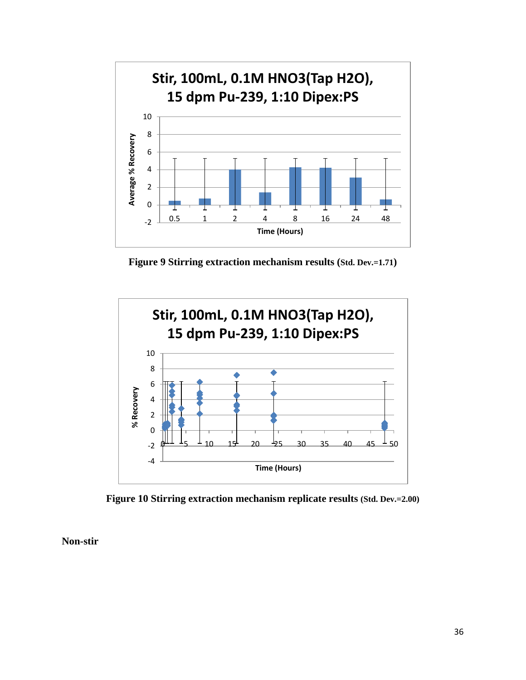

**Figure 9 Stirring extraction mechanism results (Std. Dev.=1.71)**

<span id="page-36-1"></span>

**Figure 10 Stirring extraction mechanism replicate results (Std. Dev.=2.00)**

<span id="page-36-2"></span><span id="page-36-0"></span>**Non-stir**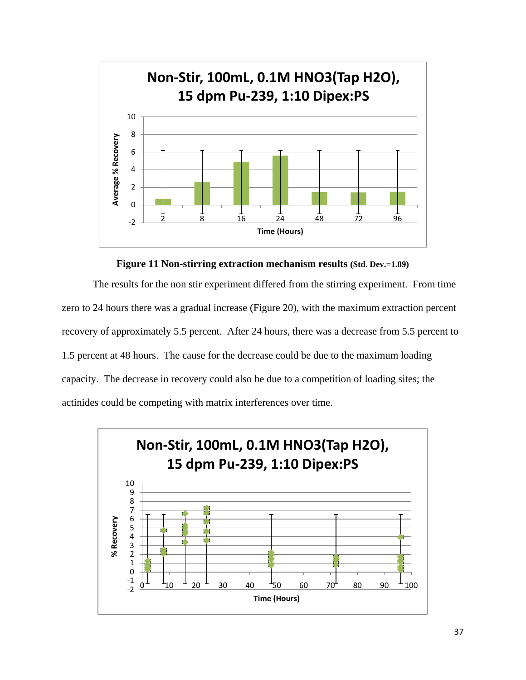

**Figure 11 Non-stirring extraction mechanism results (Std. Dev.=1.89)**

<span id="page-37-0"></span>The results for the non stir experiment differed from the stirring experiment. From time zero to 24 hours there was a gradual increase (Figure 20), with the maximum extraction percent recovery of approximately 5.5 percent. After 24 hours, there was a decrease from 5.5 percent to 1.5 percent at 48 hours. The cause for the decrease could be due to the maximum loading capacity. The decrease in recovery could also be due to a competition of loading sites; the actinides could be competing with matrix interferences over time.

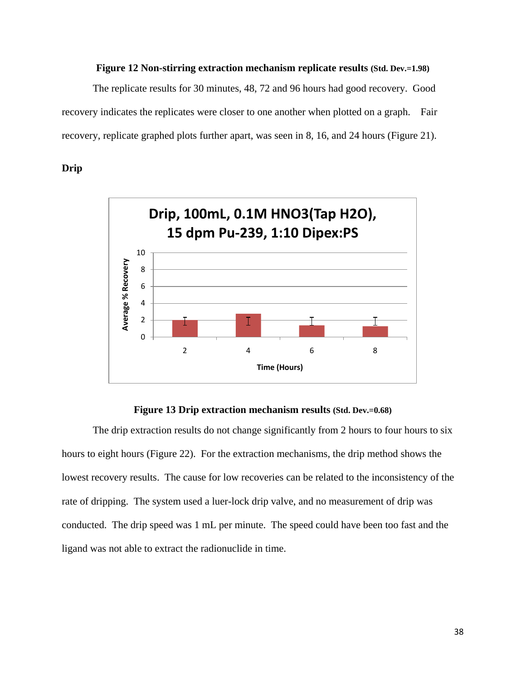#### **Figure 12 Non-stirring extraction mechanism replicate results (Std. Dev.=1.98)**

<span id="page-38-1"></span>The replicate results for 30 minutes, 48, 72 and 96 hours had good recovery. Good recovery indicates the replicates were closer to one another when plotted on a graph. Fair recovery, replicate graphed plots further apart, was seen in 8, 16, and 24 hours (Figure 21).

#### <span id="page-38-0"></span>**Drip**



#### **Figure 13 Drip extraction mechanism results (Std. Dev.=0.68)**

<span id="page-38-2"></span>The drip extraction results do not change significantly from 2 hours to four hours to six hours to eight hours (Figure 22). For the extraction mechanisms, the drip method shows the lowest recovery results. The cause for low recoveries can be related to the inconsistency of the rate of dripping. The system used a luer-lock drip valve, and no measurement of drip was conducted. The drip speed was 1 mL per minute. The speed could have been too fast and the ligand was not able to extract the radionuclide in time.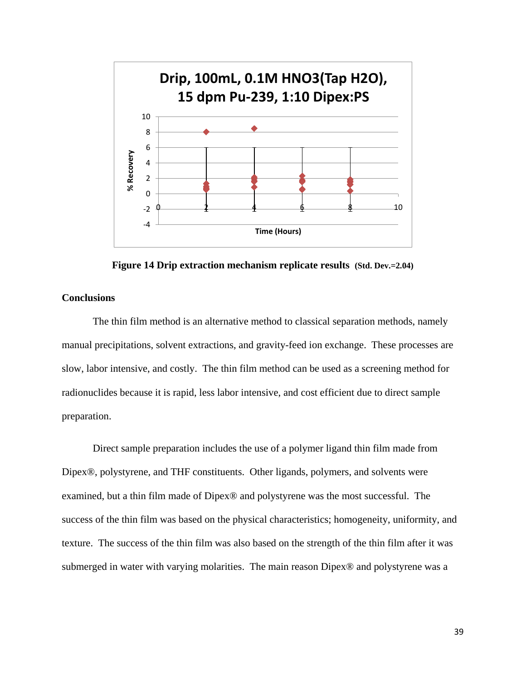

**Figure 14 Drip extraction mechanism replicate results (Std. Dev.=2.04)**

### <span id="page-39-1"></span><span id="page-39-0"></span>**Conclusions**

The thin film method is an alternative method to classical separation methods, namely manual precipitations, solvent extractions, and gravity-feed ion exchange. These processes are slow, labor intensive, and costly. The thin film method can be used as a screening method for radionuclides because it is rapid, less labor intensive, and cost efficient due to direct sample preparation.

Direct sample preparation includes the use of a polymer ligand thin film made from Dipex®, polystyrene, and THF constituents. Other ligands, polymers, and solvents were examined, but a thin film made of Dipex® and polystyrene was the most successful. The success of the thin film was based on the physical characteristics; homogeneity, uniformity, and texture. The success of the thin film was also based on the strength of the thin film after it was submerged in water with varying molarities. The main reason Dipex® and polystyrene was a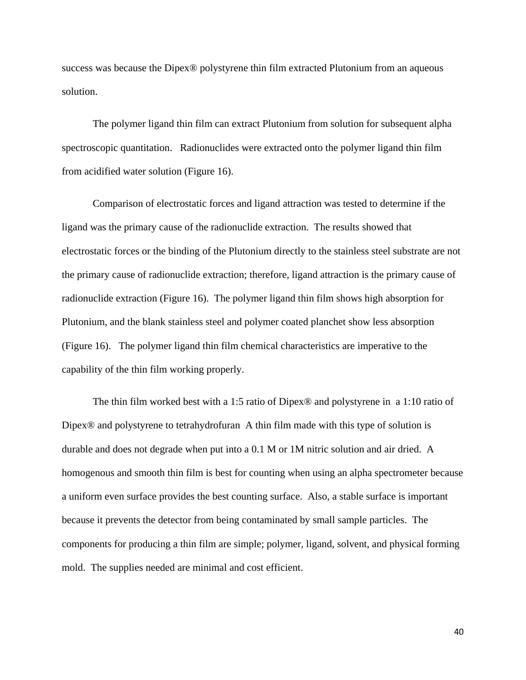success was because the Dipex® polystyrene thin film extracted Plutonium from an aqueous solution.

The polymer ligand thin film can extract Plutonium from solution for subsequent alpha spectroscopic quantitation. Radionuclides were extracted onto the polymer ligand thin film from acidified water solution (Figure 16).

Comparison of electrostatic forces and ligand attraction was tested to determine if the ligand was the primary cause of the radionuclide extraction. The results showed that electrostatic forces or the binding of the Plutonium directly to the stainless steel substrate are not the primary cause of radionuclide extraction; therefore, ligand attraction is the primary cause of radionuclide extraction (Figure 16). The polymer ligand thin film shows high absorption for Plutonium, and the blank stainless steel and polymer coated planchet show less absorption (Figure 16). The polymer ligand thin film chemical characteristics are imperative to the capability of the thin film working properly.

The thin film worked best with a 1:5 ratio of Dipex® and polystyrene in a 1:10 ratio of Dipex<sup>®</sup> and polystyrene to tetrahydrofuran A thin film made with this type of solution is durable and does not degrade when put into a 0.1 M or 1M nitric solution and air dried. A homogenous and smooth thin film is best for counting when using an alpha spectrometer because a uniform even surface provides the best counting surface. Also, a stable surface is important because it prevents the detector from being contaminated by small sample particles. The components for producing a thin film are simple; polymer, ligand, solvent, and physical forming mold. The supplies needed are minimal and cost efficient.

40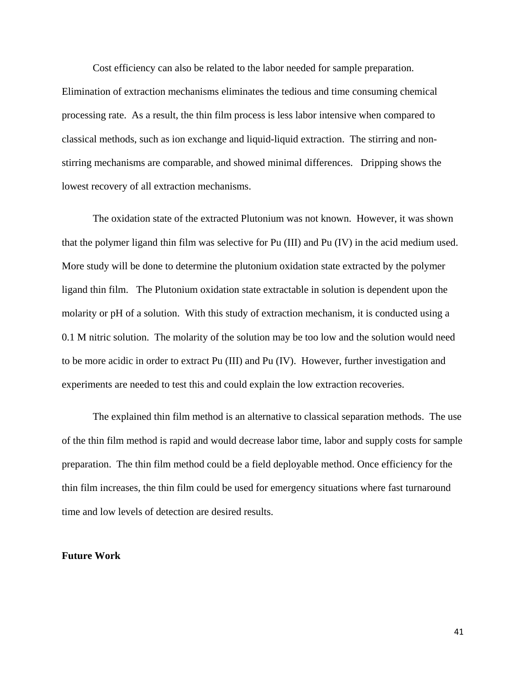Cost efficiency can also be related to the labor needed for sample preparation.

Elimination of extraction mechanisms eliminates the tedious and time consuming chemical processing rate. As a result, the thin film process is less labor intensive when compared to classical methods, such as ion exchange and liquid-liquid extraction. The stirring and nonstirring mechanisms are comparable, and showed minimal differences. Dripping shows the lowest recovery of all extraction mechanisms.

The oxidation state of the extracted Plutonium was not known. However, it was shown that the polymer ligand thin film was selective for Pu (III) and Pu (IV) in the acid medium used. More study will be done to determine the plutonium oxidation state extracted by the polymer ligand thin film. The Plutonium oxidation state extractable in solution is dependent upon the molarity or pH of a solution. With this study of extraction mechanism, it is conducted using a 0.1 M nitric solution. The molarity of the solution may be too low and the solution would need to be more acidic in order to extract Pu (III) and Pu (IV). However, further investigation and experiments are needed to test this and could explain the low extraction recoveries.

The explained thin film method is an alternative to classical separation methods. The use of the thin film method is rapid and would decrease labor time, labor and supply costs for sample preparation. The thin film method could be a field deployable method. Once efficiency for the thin film increases, the thin film could be used for emergency situations where fast turnaround time and low levels of detection are desired results.

#### <span id="page-41-0"></span>**Future Work**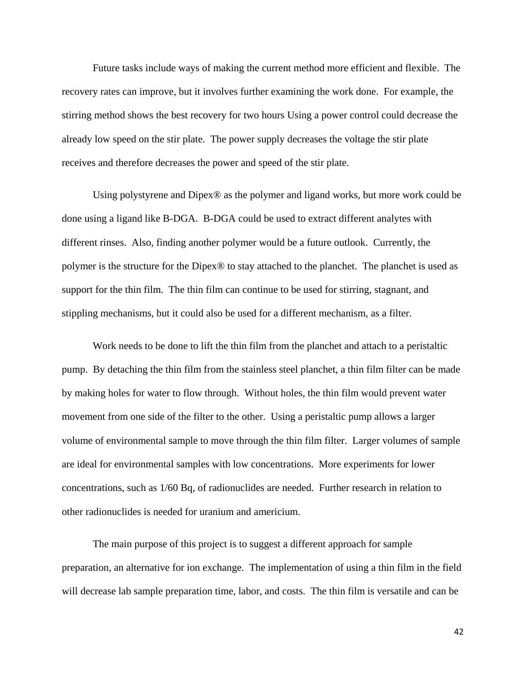Future tasks include ways of making the current method more efficient and flexible. The recovery rates can improve, but it involves further examining the work done. For example, the stirring method shows the best recovery for two hours Using a power control could decrease the already low speed on the stir plate. The power supply decreases the voltage the stir plate receives and therefore decreases the power and speed of the stir plate.

Using polystyrene and Dipex<sup>®</sup> as the polymer and ligand works, but more work could be done using a ligand like B-DGA. B-DGA could be used to extract different analytes with different rinses. Also, finding another polymer would be a future outlook. Currently, the polymer is the structure for the Dipex® to stay attached to the planchet. The planchet is used as support for the thin film. The thin film can continue to be used for stirring, stagnant, and stippling mechanisms, but it could also be used for a different mechanism, as a filter.

Work needs to be done to lift the thin film from the planchet and attach to a peristaltic pump. By detaching the thin film from the stainless steel planchet, a thin film filter can be made by making holes for water to flow through. Without holes, the thin film would prevent water movement from one side of the filter to the other. Using a peristaltic pump allows a larger volume of environmental sample to move through the thin film filter. Larger volumes of sample are ideal for environmental samples with low concentrations. More experiments for lower concentrations, such as 1/60 Bq, of radionuclides are needed. Further research in relation to other radionuclides is needed for uranium and americium.

The main purpose of this project is to suggest a different approach for sample preparation, an alternative for ion exchange. The implementation of using a thin film in the field will decrease lab sample preparation time, labor, and costs. The thin film is versatile and can be

42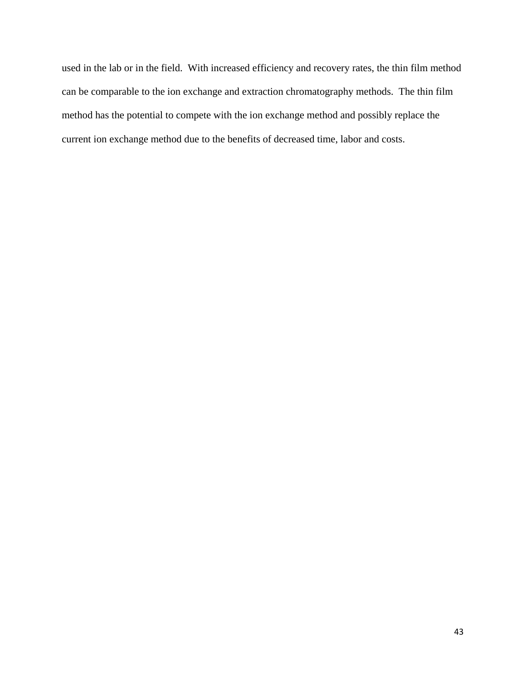used in the lab or in the field. With increased efficiency and recovery rates, the thin film method can be comparable to the ion exchange and extraction chromatography methods. The thin film method has the potential to compete with the ion exchange method and possibly replace the current ion exchange method due to the benefits of decreased time, labor and costs.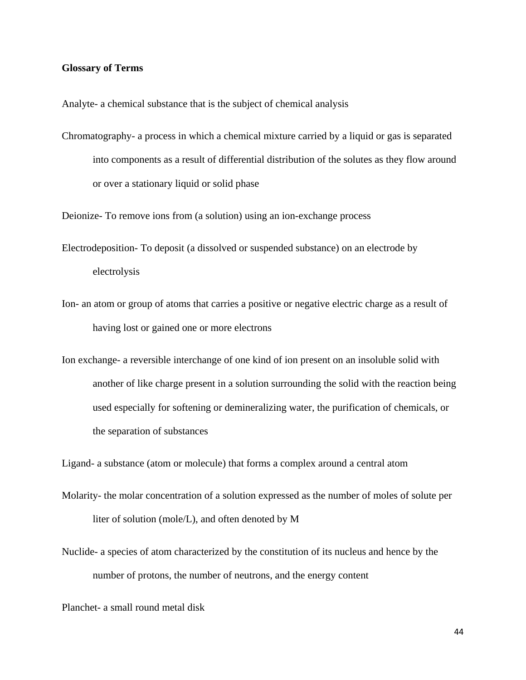#### <span id="page-44-0"></span>**Glossary of Terms**

Analyte- a chemical substance that is the subject of chemical analysis

Chromatography- a process in which a chemical mixture carried by a liquid or gas is separated into components as a result of differential distribution of the solutes as they flow around or over a stationary liquid or solid phase

Deionize- To remove ions from (a solution) using an ion-exchange process

- Electrodeposition- To deposit (a dissolved or suspended substance) on an electrode by electrolysis
- Ion- an atom or group of atoms that carries a positive or negative electric charge as a result of having lost or gained one or more electrons
- Ion exchange- a reversible interchange of one kind of ion present on an insoluble solid with another of like charge present in a solution surrounding the solid with the reaction being used especially for softening or demineralizing water, the purification of chemicals, or the separation of substances

Ligand- a substance (atom or molecule) that forms a complex around a central atom

- Molarity- the molar concentration of a solution expressed as the number of moles of solute per liter of solution (mole/L), and often denoted by M
- Nuclide- a species of atom characterized by the constitution of its nucleus and hence by the number of protons, the number of neutrons, and the energy content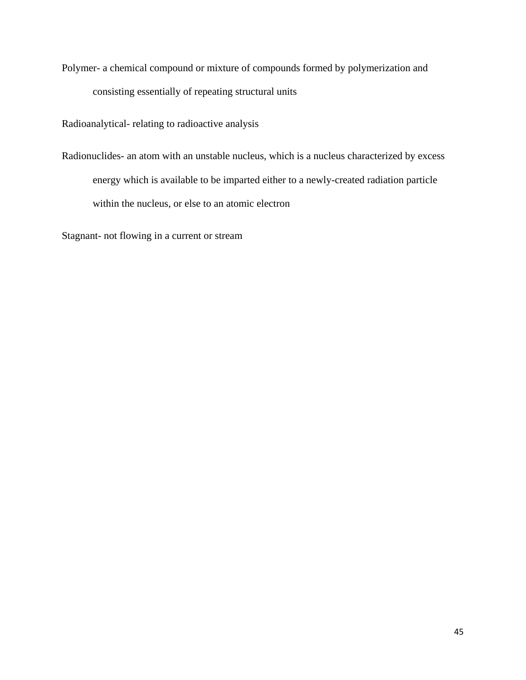Polymer- a chemical compound or mixture of compounds formed by polymerization and consisting essentially of repeating structural units

Radioanalytical- relating to radioactive analysis

Radionuclides- an atom with an unstable nucleus, which is a nucleus characterized by excess energy which is available to be imparted either to a newly-created radiation particle within the nucleus, or else to an atomic electron

Stagnant- not flowing in a current or stream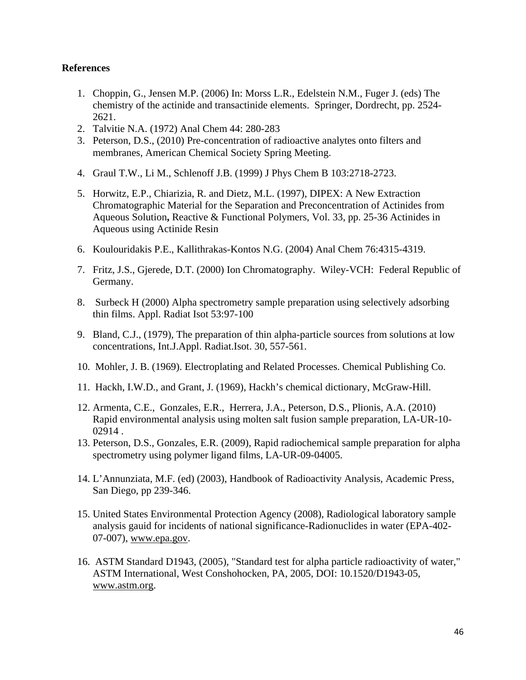### <span id="page-46-0"></span>**References**

- 1. Choppin, G., Jensen M.P. (2006) In: Morss L.R., Edelstein N.M., Fuger J. (eds) The chemistry of the actinide and transactinide elements. Springer, Dordrecht, pp. 2524- 2621.
- 2. Talvitie N.A. (1972) Anal Chem 44: 280-283
- 3. Peterson, D.S., (2010) Pre-concentration of radioactive analytes onto filters and membranes, American Chemical Society Spring Meeting.
- 4. Graul T.W., Li M., Schlenoff J.B. (1999) J Phys Chem B 103:2718-2723.
- 5. Horwitz, E.P., Chiarizia, R. and Dietz, M.L. (1997), DIPEX: A New Extraction Chromatographic Material for the Separation and Preconcentration of Actinides from Aqueous Solution**,** Reactive & Functional Polymers, Vol. 33, pp. 25-36 Actinides in Aqueous using Actinide Resin
- 6. Koulouridakis P.E., Kallithrakas-Kontos N.G. (2004) Anal Chem 76:4315-4319.
- 7. Fritz, J.S., Gjerede, D.T. (2000) Ion Chromatography. Wiley-VCH: Federal Republic of Germany.
- 8. Surbeck H (2000) Alpha spectrometry sample preparation using selectively adsorbing thin films. Appl. Radiat Isot 53:97-100
- 9. Bland, C.J., (1979), The preparation of thin alpha-particle sources from solutions at low concentrations, Int.J.Appl. Radiat.Isot. 30, 557-561.
- 10. Mohler, J. B. (1969). Electroplating and Related Processes. Chemical Publishing Co.
- 11. Hackh, I.W.D., and Grant, J. (1969), Hackh's chemical dictionary, McGraw-Hill.
- 12. [Armenta, C.E.](http://lasearch.lanl.gov/oppie/service?url_ver=Z39.88-2004&rft_id=info:lanl-repo/oppie&svc_val_fmt=http://oppie.lanl.gov/openurl/oppie.html&svc_id=info:lanl-repo/svc/oppie/solr-bib-search&svc.oparam2=0&svc.oparam3=25&svc.oparam4=score%20desc&svc.oparam1=author:%22Armenta,%20Claudine%20E%22), [Gonzales, E.R.](http://lasearch.lanl.gov/oppie/service?url_ver=Z39.88-2004&rft_id=info:lanl-repo/oppie&svc_val_fmt=http://oppie.lanl.gov/openurl/oppie.html&svc_id=info:lanl-repo/svc/oppie/solr-bib-search&svc.oparam2=0&svc.oparam3=25&svc.oparam4=score%20desc&svc.oparam1=author:%22Gonzales,%20Edward%20R%22), [Herrera, J.A.](http://lasearch.lanl.gov/oppie/service?url_ver=Z39.88-2004&rft_id=info:lanl-repo/oppie&svc_val_fmt=http://oppie.lanl.gov/openurl/oppie.html&svc_id=info:lanl-repo/svc/oppie/solr-bib-search&svc.oparam2=0&svc.oparam3=25&svc.oparam4=score%20desc&svc.oparam1=author:%22Herrera,%20Jaclyn%20A%22), [Peterson, D.S.](http://lasearch.lanl.gov/oppie/service?url_ver=Z39.88-2004&rft_id=info:lanl-repo/oppie&svc_val_fmt=http://oppie.lanl.gov/openurl/oppie.html&svc_id=info:lanl-repo/svc/oppie/solr-bib-search&svc.oparam2=0&svc.oparam3=25&svc.oparam4=score%20desc&svc.oparam1=author:%22Peterson,%20Dominic%20S%22), [Plionis, A.A.](http://lasearch.lanl.gov/oppie/service?url_ver=Z39.88-2004&rft_id=info:lanl-repo/oppie&svc_val_fmt=http://oppie.lanl.gov/openurl/oppie.html&svc_id=info:lanl-repo/svc/oppie/solr-bib-search&svc.oparam2=0&svc.oparam3=25&svc.oparam4=score%20desc&svc.oparam1=author:%22Plionis,%20Alexander%20A%22) (2010) [Rapid environmental analysis using molten salt fusion sample preparation,](http://lasearch.lanl.gov/oppie/service?url_ver=Z39.88-2004&rft_id=info:lanl-repo/oppie&svc_val_fmt=http://oppie.lanl.gov/openurl/oppie.html&svc_id=info:lanl-repo/svc/oppie/full-rec&svc.oparam1=info:lanl-repo/lareport/LA-UR-10-02914&svc.oparam2=info:lanl-repo/svc/getDIDL&svc.oparam3=%28armenta%29%20AND%20pubDate:%222010%22&svc.oparam4=2&svc.oparam5=13&svc.oparam6=score%20desc&svc.oparam7=LANL&svc.oparam8=&svc.oparam9=&svc.oparam10=info:lanl-repo/svc/oppie/solr-bib-search) LA-UR-10- 02914 .
- 13. [Peterson, D.S.](http://lasearch.lanl.gov/oppie/service?url_ver=Z39.88-2004&rft_id=info:lanl-repo/oppie&svc_val_fmt=http://oppie.lanl.gov/openurl/oppie.html&svc_id=info:lanl-repo/svc/oppie/solr-bib-search&svc.oparam2=0&svc.oparam3=25&svc.oparam4=score%20desc&svc.oparam1=author:%22Peterson,%20Dominic%20S%22), [Gonzales, E.R.](http://lasearch.lanl.gov/oppie/service?url_ver=Z39.88-2004&rft_id=info:lanl-repo/oppie&svc_val_fmt=http://oppie.lanl.gov/openurl/oppie.html&svc_id=info:lanl-repo/svc/oppie/solr-bib-search&svc.oparam2=0&svc.oparam3=25&svc.oparam4=score%20desc&svc.oparam1=author:%22Gonzales,%20Edward%20R%22) (2009), [Rapid radiochemical sample preparation for alpha](http://lasearch.lanl.gov/oppie/service?url_ver=Z39.88-2004&rft_id=info:lanl-repo/oppie&svc_val_fmt=http://oppie.lanl.gov/openurl/oppie.html&svc_id=info:lanl-repo/svc/oppie/full-rec&svc.oparam1=info:lanl-repo/lareport/LA-UR-09-04005&svc.oparam2=info:lanl-repo/svc/getDIDL&svc.oparam3=%28dominic%20peterson%29%20AND%20docType_f:%22Full%20Paper%22&svc.oparam4=4&svc.oparam5=24&svc.oparam6=score%20desc&svc.oparam7=LANL&svc.oparam8=&svc.oparam9=&svc.oparam10=info:lanl-repo/svc/oppie/solr-bib-search)  [spectrometry using polymer ligand films,](http://lasearch.lanl.gov/oppie/service?url_ver=Z39.88-2004&rft_id=info:lanl-repo/oppie&svc_val_fmt=http://oppie.lanl.gov/openurl/oppie.html&svc_id=info:lanl-repo/svc/oppie/full-rec&svc.oparam1=info:lanl-repo/lareport/LA-UR-09-04005&svc.oparam2=info:lanl-repo/svc/getDIDL&svc.oparam3=%28dominic%20peterson%29%20AND%20docType_f:%22Full%20Paper%22&svc.oparam4=4&svc.oparam5=24&svc.oparam6=score%20desc&svc.oparam7=LANL&svc.oparam8=&svc.oparam9=&svc.oparam10=info:lanl-repo/svc/oppie/solr-bib-search) LA-UR-09-04005.
- 14. L'Annunziata, M.F. (ed) (2003), Handbook of Radioactivity Analysis, Academic Press, San Diego, pp 239-346.
- 15. United States Environmental Protection Agency (2008), Radiological laboratory sample analysis gauid for incidents of national significance-Radionuclides in water (EPA-402- 07-007), www.epa.gov.
- 16. ASTM Standard D1943, (2005), "Standard test for alpha particle radioactivity of water," ASTM International, West Conshohocken, PA, 2005, DOI: 10.1520/D1943-05, [www.astm.org.](http://www.astm.org/)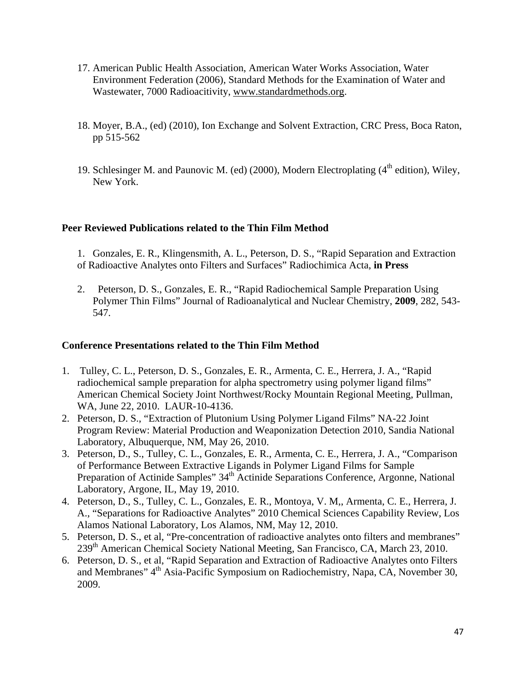- 17. American Public Health Association, American Water Works Association, Water Environment Federation (2006), Standard Methods for the Examination of Water and Wastewater, 7000 Radioacitivity, www.standardmethods.org.
- 18. Moyer, B.A., (ed) (2010), Ion Exchange and Solvent Extraction, CRC Press, Boca Raton, pp 515-562
- 19. Schlesinger M. and Paunovic M. (ed) (2000), Modern Electroplating  $(4^{th}$  edition), Wiley, New York.

### <span id="page-47-0"></span>**Peer Reviewed Publications related to the Thin Film Method**

- 1. Gonzales, E. R., Klingensmith, A. L., Peterson, D. S., "Rapid Separation and Extraction of Radioactive Analytes onto Filters and Surfaces" Radiochimica Acta, **in Press**
- 2. Peterson, D. S., Gonzales, E. R., "Rapid Radiochemical Sample Preparation Using Polymer Thin Films" Journal of Radioanalytical and Nuclear Chemistry, **2009**, 282, 543- 547.

## <span id="page-47-1"></span>**Conference Presentations related to the Thin Film Method**

- 1. Tulley, C. L., Peterson, D. S., Gonzales, E. R., Armenta, C. E., Herrera, J. A., "Rapid radiochemical sample preparation for alpha spectrometry using polymer ligand films" American Chemical Society Joint Northwest/Rocky Mountain Regional Meeting, Pullman, WA, June 22, 2010. LAUR-10-4136.
- 2. Peterson, D. S., "Extraction of Plutonium Using Polymer Ligand Films" NA-22 Joint Program Review: Material Production and Weaponization Detection 2010, Sandia National Laboratory, Albuquerque, NM, May 26, 2010.
- 3. Peterson, D., S., Tulley, C. L., Gonzales, E. R., Armenta, C. E., Herrera, J. A., "Comparison of Performance Between Extractive Ligands in Polymer Ligand Films for Sample Preparation of Actinide Samples" 34<sup>th</sup> Actinide Separations Conference, Argonne, National Laboratory, Argone, IL, May 19, 2010.
- 4. Peterson, D., S., Tulley, C. L., Gonzales, E. R., Montoya, V. M,, Armenta, C. E., Herrera, J. A., "Separations for Radioactive Analytes" 2010 Chemical Sciences Capability Review, Los Alamos National Laboratory, Los Alamos, NM, May 12, 2010.
- 5. Peterson, D. S., et al, "Pre-concentration of radioactive analytes onto filters and membranes" 239th American Chemical Society National Meeting, San Francisco, CA, March 23, 2010.
- 6. Peterson, D. S., et al, "Rapid Separation and Extraction of Radioactive Analytes onto Filters and Membranes" 4<sup>th</sup> Asia-Pacific Symposium on Radiochemistry, Napa, CA, November 30, 2009.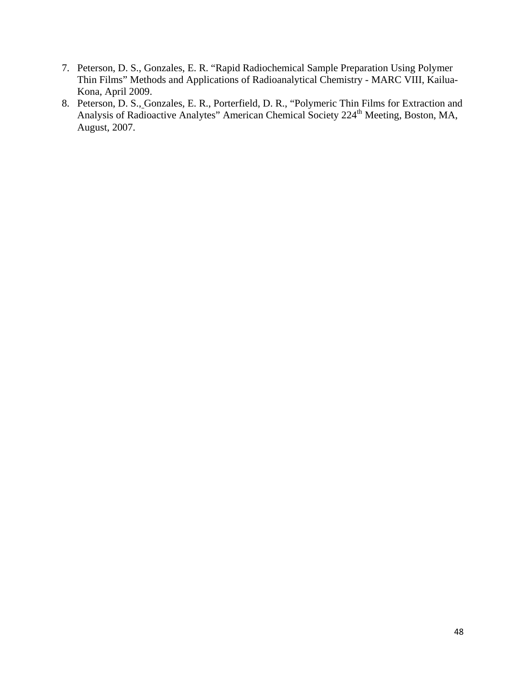- 7. Peterson, D. S., Gonzales, E. R. "Rapid Radiochemical Sample Preparation Using Polymer Thin Films" Methods and Applications of Radioanalytical Chemistry - MARC VIII, Kailua-Kona, April 2009.
- 8. Peterson, D. S., Gonzales, E. R., Porterfield, D. R., "Polymeric Thin Films for Extraction and Analysis of Radioactive Analytes" American Chemical Society 224<sup>th</sup> Meeting, Boston, MA, August, 2007.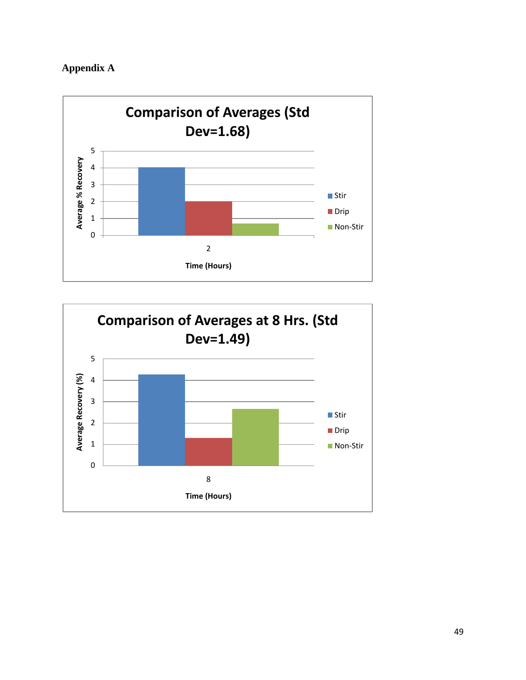<span id="page-49-0"></span>



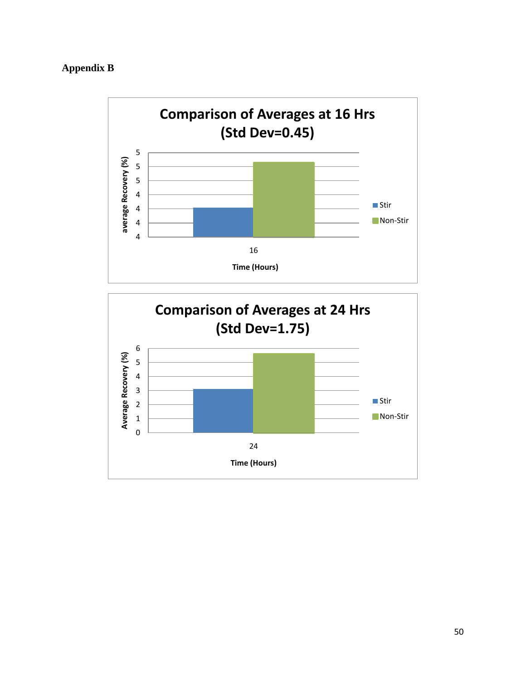# <span id="page-50-0"></span>**Appendix B**



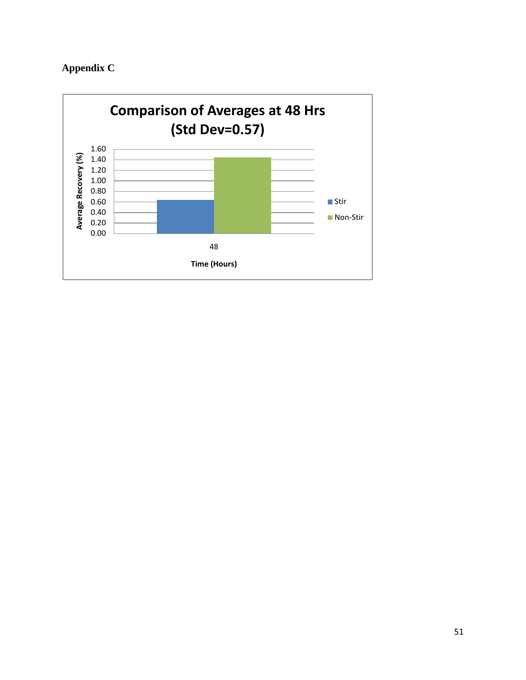# <span id="page-51-0"></span>**Appendix C**